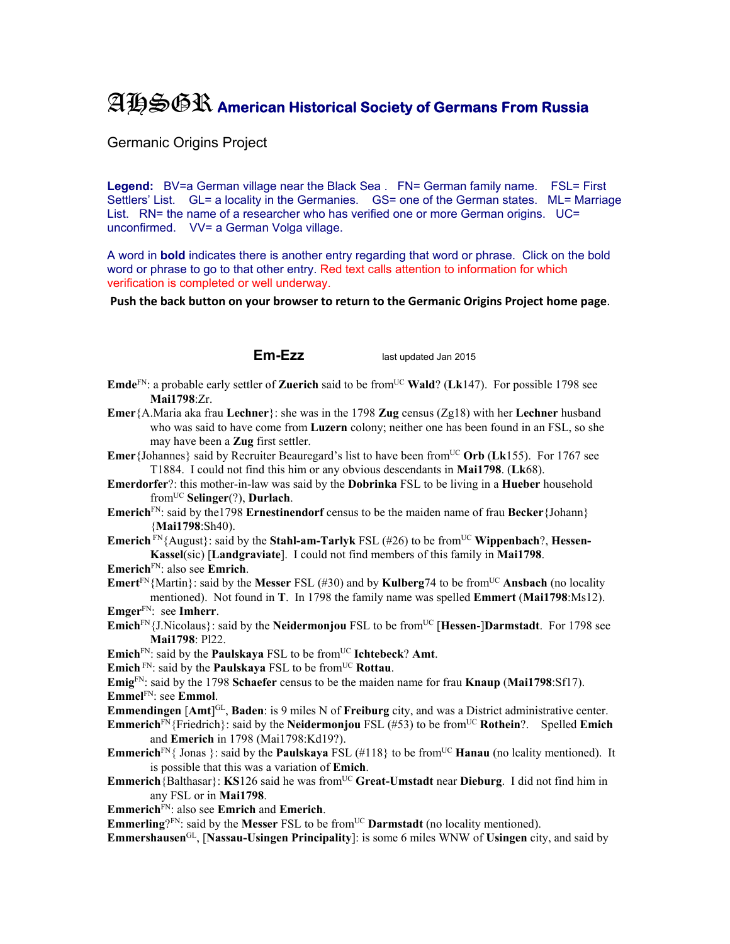## AHSGR **American Historical Society of Germans From Russia**

Germanic Origins Project

Legend: BV=a German village near the Black Sea . FN= German family name. FSL= First Settlers' List. GL= a locality in the Germanies. GS= one of the German states. ML= Marriage List. RN= the name of a researcher who has verified one or more German origins. UC= unconfirmed. VV= a German Volga village.

A word in **bold** indicates there is another entry regarding that word or phrase. Click on the bold word or phrase to go to that other entry. Red text calls attention to information for which verification is completed or well underway.

**Push the back button on your browser to return to the Germanic Origins Project home page**.

**Em-Ezz** last updated Jan 2015

- **Emde**<sup>FN</sup>: a probable early settler of **Zuerich** said to be from<sup>UC</sup> **Wald**? (Lk147). For possible 1798 see **Mai1798**:Zr.
- **Emer**{A.Maria aka frau **Lechner**}: she was in the 1798 **Zug** census (Zg18) with her **Lechner** husband who was said to have come from **Luzern** colony; neither one has been found in an FSL, so she may have been a **Zug** first settler.
- **Emer**{Johannes} said by Recruiter Beauregard's list to have been from<sup>UC</sup> Orb (Lk155). For 1767 see T1884. I could not find this him or any obvious descendants in **Mai1798**. (**Lk**68).
- **Emerdorfer**?: this mother-in-law was said by the **Dobrinka** FSL to be living in a **Hueber** household fromUC **Selinger**(?), **Durlach**.
- **Emerich**<sup>FN</sup>: said by the 1798 **Ernestinendorf** census to be the maiden name of frau **Becker** {Johann} {**Mai1798**:Sh40).
- **Emerich**  $\text{FN}_{1}$  August}: said by the **Stahl-am-Tarlyk** FSL (#26) to be from<sup>UC</sup> **Wippenbach**?, **Hessen-Kassel**(sic) [**Landgraviate**]. I could not find members of this family in **Mai1798**.
- **Emerich**FN: also see **Emrich**.

**Emert**<sup>FN</sup>{Martin}: said by the **Messer** FSL (#30) and by **Kulberg**74 to be from<sup>UC</sup> **Ansbach** (no locality mentioned). Not found in **T**. In 1798 the family name was spelled **Emmert** (**Mai1798**:Ms12). **Emger**FN: see **Imherr**.

- **Emich**<sup>FN</sup>{J.Nicolaus}: said by the **Neidermonjou** FSL to be from<sup>UC</sup> [**Hessen-]Darmstadt**. For 1798 see **Mai1798**: Pl22.
- **Emich**<sup>FN</sup>: said by the **Paulskaya** FSL to be from<sup>UC</sup> **Ichtebeck**? Amt.
- **Emich**<sup>FN</sup>: said by the **Paulskaya** FSL to be from<sup>UC</sup> **Rottau**.

**Emig**FN: said by the 1798 **Schaefer** census to be the maiden name for frau **Knaup** (**Mai1798**:Sf17). **Emmel**FN: see **Emmol**.

**Emmendingen** [Amt<sup>]GL</sup>, **Baden**: is 9 miles N of **Freiburg** city, and was a District administrative center.

**Emmerich**FN{Friedrich}: said by the **Neidermonjou** FSL (#53) to be fromUC **Rothein**?. Spelled **Emich** and **Emerich** in 1798 (Mai1798:Kd19?).

- **Emmerich**<sup>FN</sup>{ Jonas }: said by the **Paulskaya** FSL (#118} to be from<sup>UC</sup> **Hanau** (no lcality mentioned). It is possible that this was a variation of **Emich**.
- **Emmerich**{Balthasar}: **KS**126 said he was from<sup>UC</sup> Great-Umstadt near Dieburg. I did not find him in any FSL or in **Mai1798**.
- **Emmerich**FN: also see **Emrich** and **Emerich**.
- **Emmerling**?FN: said by the **Messer** FSL to be from<sup>UC</sup> **Darmstadt** (no locality mentioned).

**Emmershausen**GL, [**Nassau-Usingen Principality**]: is some 6 miles WNW of **Usingen** city, and said by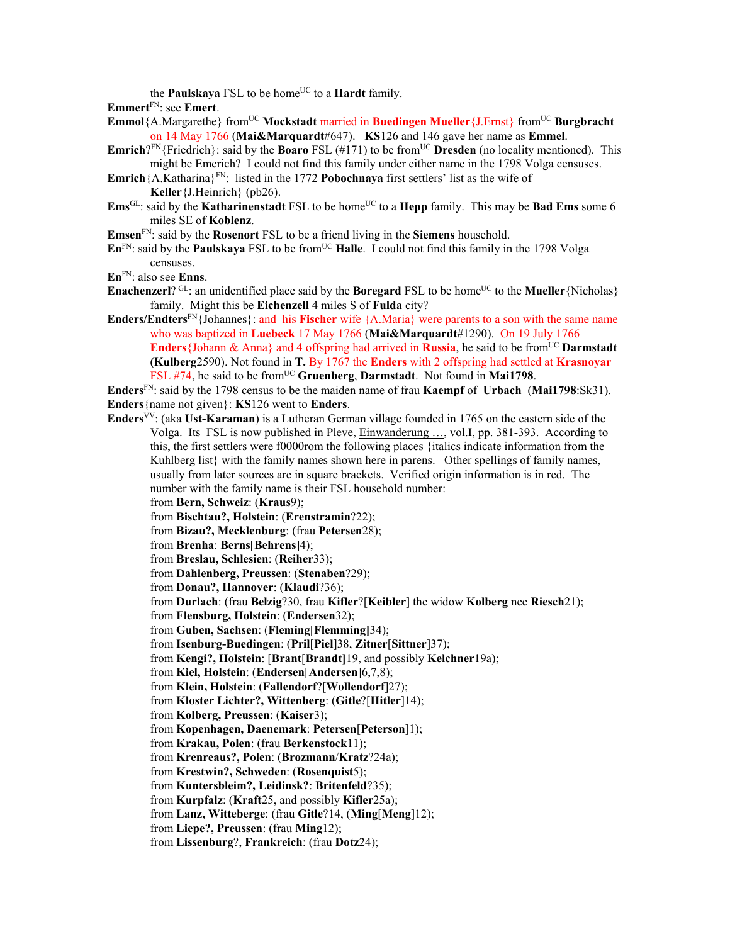the **Paulskaya** FSL to be home<sup>UC</sup> to a **Hardt** family.

**Emmert**FN: see **Emert**.

- **Emmol**{A.Margarethe} fromUC **Mockstadt** married in **Buedingen Mueller**{J.Ernst} fromUC **Burgbracht** on 14 May 1766 (**Mai&Marquardt**#647). **KS**126 and 146 gave her name as **Emmel**.
- **Emrich**?FN{Friedrich}: said by the **Boaro** FSL (#171) to be from<sup>UC</sup> **Dresden** (no locality mentioned). This might be Emerich? I could not find this family under either name in the 1798 Volga censuses.
- **Emrich**{A.Katharina}FN: listed in the 1772 **Pobochnaya** first settlers' list as the wife of **Keller**{J.Heinrich} (pb26).
- **Ems**<sup>GL</sup>: said by the **Katharinenstadt** FSL to be home<sup>UC</sup> to a **Hepp** family. This may be **Bad Ems** some 6 miles SE of **Koblenz**.
- **Emsen**FN: said by the **Rosenort** FSL to be a friend living in the **Siemens** household.
- $\mathbf{En}^{\text{FN}}$ : said by the **Paulskaya** FSL to be from<sup>UC</sup> **Halle**. I could not find this family in the 1798 Volga censuses.
- **En**FN: also see **Enns**.
- **Enachenzerl**? GL: an unidentified place said by the **Boregard** FSL to be home<sup>UC</sup> to the **Mueller** {Nicholas} family. Might this be **Eichenzell** 4 miles S of **Fulda** city?
- **Enders/Endters**<sup>FN</sup>{Johannes}: and his **Fischer** wife {A.Maria} were parents to a son with the same name who was baptized in **Luebeck** 17 May 1766 (**Mai&Marquardt**#1290). On 19 July 1766 **Enders** {Johann & Anna} and 4 offspring had arrived in **Russia**, he said to be from<sup>UC</sup> **Darmstadt (Kulberg**2590). Not found in **T.** By 1767 the **Enders** with 2 offspring had settled at **Krasnoyar** FSL #74, he said to be from<sup>UC</sup> Gruenberg, Darmstadt. Not found in Mai1798.
- **Enders**FN: said by the 1798 census to be the maiden name of frau **Kaempf** of **Urbach** (**Mai1798**:Sk31). **Enders**{name not given}: **KS**126 went to **Enders**.
- **Enders**VV: (aka **Ust-Karaman**) is a Lutheran German village founded in 1765 on the eastern side of the Volga. Its FSL is now published in Pleve, Einwanderung …, vol.I, pp. 381-393. According to this, the first settlers were f0000rom the following places {italics indicate information from the Kuhlberg list} with the family names shown here in parens. Other spellings of family names, usually from later sources are in square brackets. Verified origin information is in red. The number with the family name is their FSL household number:
	- from **Bern, Schweiz**: (**Kraus**9);
	- from **Bischtau?, Holstein**: (**Erenstramin**?22);
	- from **Bizau?, Mecklenburg**: (frau **Petersen**28);
	- from **Brenha**: **Berns**[**Behrens**]4);
	- from **Breslau, Schlesien**: (**Reiher**33);
	- from **Dahlenberg, Preussen**: (**Stenaben**?29);
	- from **Donau?, Hannover**: (**Klaudi**?36);
	- from **Durlach**: (frau **Belzig**?30, frau **Kifler**?[**Keibler**] the widow **Kolberg** nee **Riesch**21);
	- from **Flensburg, Holstein**: (**Endersen**32);
	- from **Guben, Sachsen**: (**Fleming**[**Flemming]**34);
	- from **Isenburg-Buedingen**: (**Pril**[**Piel**]38, **Zitner**[**Sittner**]37);
	- from **Kengi?, Holstein**: [**Brant**[**Brandt]**19, and possibly **Kelchner**19a);
	- from **Kiel, Holstein**: (**Endersen**[**Andersen**]6,7,8);
	- from **Klein, Holstein**: (**Fallendorf**?[**Wollendorf**]27);
	- from **Kloster Lichter?, Wittenberg**: (**Gitle**?[**Hitler**]14);
	- from **Kolberg, Preussen**: (**Kaiser**3);
	- from **Kopenhagen, Daenemark**: **Petersen**[**Peterson**]1);
	- from **Krakau, Polen**: (frau **Berkenstock**11);
	- from **Krenreaus?, Polen**: (**Brozmann**/**Kratz**?24a);
	- from **Krestwin?, Schweden**: (**Rosenquist**5);
	- from **Kuntersbleim?, Leidinsk?**: **Britenfeld**?35);
	- from **Kurpfalz**: (**Kraft**25, and possibly **Kifler**25a);
	- from **Lanz, Witteberge**: (frau **Gitle**?14, (**Ming**[**Meng**]12);
	- from **Liepe?, Preussen**: (frau **Ming**12);
	- from **Lissenburg**?, **Frankreich**: (frau **Dotz**24);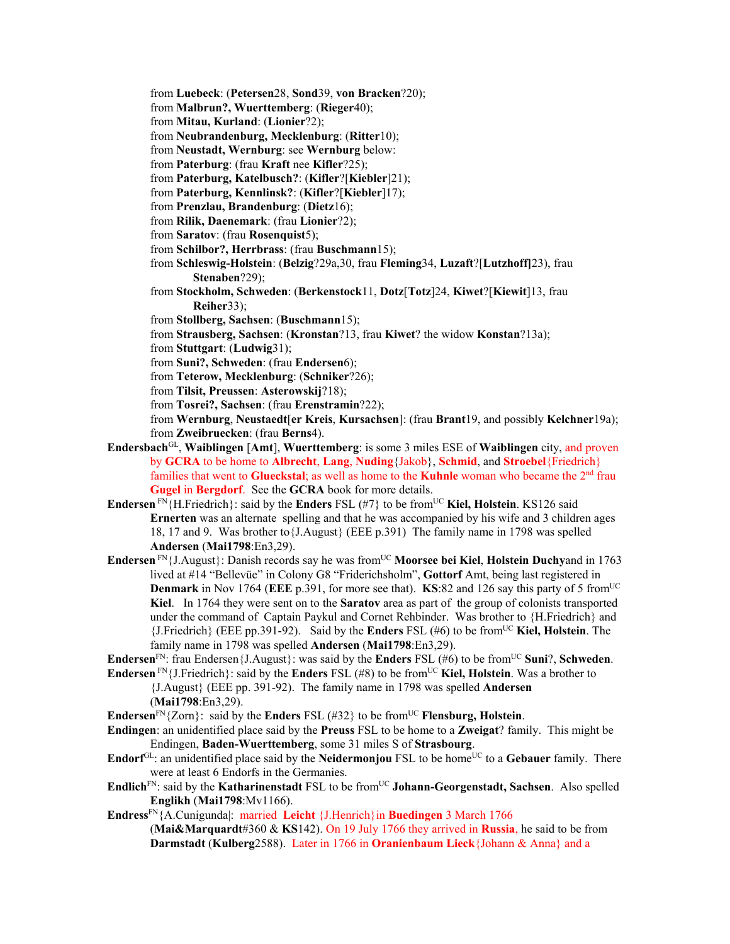from **Luebeck**: (**Petersen**28, **Sond**39, **von Bracken**?20);

from **Malbrun?, Wuerttemberg**: (**Rieger**40);

from **Mitau, Kurland**: (**Lionier**?2);

from **Neubrandenburg, Mecklenburg**: (**Ritter**10);

from **Neustadt, Wernburg**: see **Wernburg** below:

from **Paterburg**: (frau **Kraft** nee **Kifler**?25);

from **Paterburg, Katelbusch?**: (**Kifler**?[**Kiebler**]21);

from **Paterburg, Kennlinsk?**: (**Kifler**?[**Kiebler**]17);

from **Prenzlau, Brandenburg**: (**Dietz**16);

from **Rilik, Daenemark**: (frau **Lionier**?2);

from **Saratov**: (frau **Rosenquist**5);

from **Schilbor?, Herrbrass**: (frau **Buschmann**15);

from **Schleswig-Holstein**: (**Belzig**?29a,30, frau **Fleming**34, **Luzaft**?[**Lutzhoff]**23), frau **Stenaben**?29);

from **Stockholm, Schweden**: (**Berkenstock**11, **Dotz**[**Totz**]24, **Kiwet**?[**Kiewit**]13, frau **Reiher**33);

from **Stollberg, Sachsen**: (**Buschmann**15);

from **Strausberg, Sachsen**: (**Kronstan**?13, frau **Kiwet**? the widow **Konstan**?13a);

from **Stuttgart**: (**Ludwig**31);

from **Suni?, Schweden**: (frau **Endersen**6);

from **Teterow, Mecklenburg**: (**Schniker**?26);

from **Tilsit, Preussen**: **Asterowskij**?18);

from **Tosrei?, Sachsen**: (frau **Erenstramin**?22);

from **Wernburg**, **Neustaedt**[**er Kreis**, **Kursachsen**]: (frau **Brant**19, and possibly **Kelchner**19a); from **Zweibruecken**: (frau **Berns**4).

- **Endersbach**GL, **Waiblingen** [**Amt**], **Wuerttemberg**: is some 3 miles ESE of **Waiblingen** city, and proven by **GCRA** to be home to **Albrecht**, **Lang**, **Nuding**{Jakob}, **Schmid**, and **Stroebel**{Friedrich} families that went to **Glueckstal**; as well as home to the **Kuhnle** woman who became the 2nd frau **Gugel** in **Bergdorf**. See the **GCRA** book for more details.
- **Endersen** FN{H.Friedrich}: said by the **Enders** FSL (#7} to be from<sup>UC</sup> **Kiel, Holstein**. KS126 said **Ernerten** was an alternate spelling and that he was accompanied by his wife and 3 children ages 18, 17 and 9. Was brother to{J.August} (EEE p.391) The family name in 1798 was spelled **Andersen** (**Mai1798**:En3,29).
- **Endersen** FN{J.August}: Danish records say he was from<sup>UC</sup> **Moorsee bei Kiel, Holstein Duchyand** in 1763 lived at #14 "Bellevüe" in Colony G8 "Friderichsholm", **Gottorf** Amt, being last registered in **Denmark** in Nov 1764 (EEE p.391, for more see that). **KS**:82 and 126 say this party of 5 from<sup>UC</sup> **Kiel**. In 1764 they were sent on to the **Saratov** area as part of the group of colonists transported under the command of Captain Paykul and Cornet Rehbinder. Was brother to {H.Friedrich} and {J.Friedrich} (EEE pp.391-92). Said by the **Enders** FSL (#6) to be fromUC **Kiel, Holstein**. The family name in 1798 was spelled **Andersen** (**Mai1798**:En3,29).

**Endersen**<sup>FN</sup>: frau Endersen{J.August}: was said by the **Enders** FSL (#6) to be from<sup>UC</sup> **Suni**?, **Schweden**.

**Endersen** FN {J.Friedrich}: said by the **Enders** FSL (#8) to be from<sup>UC</sup> **Kiel, Holstein**. Was a brother to {J.August} (EEE pp. 391-92). The family name in 1798 was spelled **Andersen** (**Mai1798**:En3,29).

**Endersen**<sup>FN</sup>{Zorn}: said by the **Enders** FSL (#32} to be from<sup>UC</sup> **Flensburg, Holstein**.

- **Endingen**: an unidentified place said by the **Preuss** FSL to be home to a **Zweigat**? family. This might be Endingen, **Baden-Wuerttemberg**, some 31 miles S of **Strasbourg**.
- **Endorf**<sup>GL</sup>: an unidentified place said by the **Neidermonjou** FSL to be home<sup>UC</sup> to a **Gebauer** family. There were at least 6 Endorfs in the Germanies.
- **Endlich**<sup>FN</sup>: said by the **Katharinenstadt** FSL to be from<sup>UC</sup> Johann-Georgenstadt, Sachsen. Also spelled **Englikh** (**Mai1798**:Mv1166).
- **Endress**FN{A.Cunigunda|: married **Leicht** {J.Henrich}in **Buedingen** 3 March 1766 (**Mai&Marquardt**#360 & **KS**142). On 19 July 1766 they arrived in **Russia**, he said to be from

**Darmstadt** (**Kulberg**2588). Later in 1766 in **Oranienbaum Lieck**{Johann & Anna} and a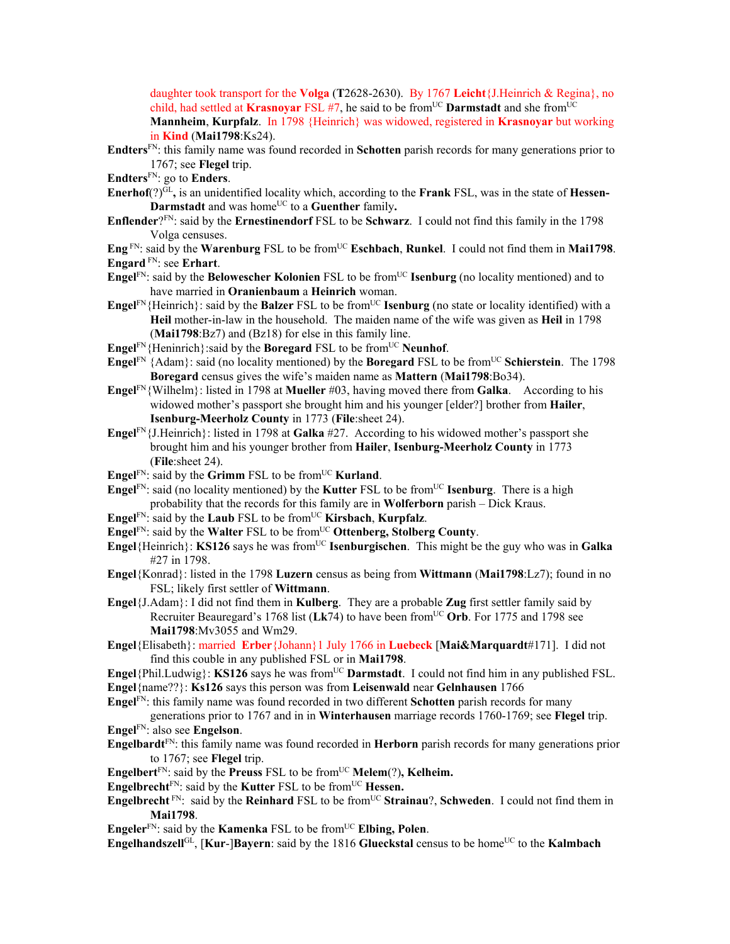daughter took transport for the **Volga** (**T**2628-2630). By 1767 **Leicht**{J.Heinrich & Regina}, no child, had settled at **Krasnoyar** FSL #7, he said to be from<sup>UC</sup> **Darmstadt** and she from<sup>UC</sup> **Mannheim**, **Kurpfalz**. In 1798 {Heinrich} was widowed, registered in **Krasnoyar** but working

in **Kind** (**Mai1798**:Ks24). **Endters**FN: this family name was found recorded in **Schotten** parish records for many generations prior to 1767; see **Flegel** trip.

- **Endters**FN: go to **Enders**.
- **Enerhof** $(?)^{GL}$ , is an unidentified locality which, according to the **Frank** FSL, was in the state of **Hessen**-**Darmstadt** and was home<sup>UC</sup> to a **Guenther** family.
- **Enflender**?FN: said by the **Ernestinendorf** FSL to be **Schwarz**. I could not find this family in the 1798 Volga censuses.
- **Eng**  $F_N$ : said by the **Warenburg** FSL to be from<sup>UC</sup> **Eschbach**, **Runkel**. I could not find them in **Mai1798**. **Engard** FN: see **Erhart**.
- **Engel**<sup>FN</sup>: said by the **Belowescher Kolonien** FSL to be from<sup>UC</sup> **Isenburg** (no locality mentioned) and to have married in **Oranienbaum** a **Heinrich** woman.
- **Engel**<sup>FN</sup>{Heinrich}: said by the **Balzer** FSL to be from<sup>UC</sup> **Isenburg** (no state or locality identified) with a **Heil** mother-in-law in the household. The maiden name of the wife was given as **Heil** in 1798 (**Mai1798**:Bz7) and (Bz18) for else in this family line.
- **Engel**FN{Heninrich}: said by the **Boregard** FSL to be from<sup>UC</sup> **Neunhof**.
- **Engel**<sup>FN</sup> {Adam}: said (no locality mentioned) by the **Boregard** FSL to be from<sup>UC</sup> **Schierstein**. The 1798 **Boregard** census gives the wife's maiden name as **Mattern** (**Mai1798**:Bo34).
- **Engel**FN{Wilhelm}: listed in 1798 at **Mueller** #03, having moved there from **Galka**. According to his widowed mother's passport she brought him and his younger [elder?] brother from **Hailer**, **Isenburg-Meerholz County** in 1773 (**File**:sheet 24).
- **Engel**FN{J.Heinrich}: listed in 1798 at **Galka** #27. According to his widowed mother's passport she brought him and his younger brother from **Hailer**, **Isenburg-Meerholz County** in 1773 (**File**:sheet 24).
- **Engel**<sup>FN</sup>: said by the **Grimm** FSL to be from<sup>UC</sup> **Kurland**.
- **Engel**<sup>FN</sup>: said (no locality mentioned) by the **Kutter** FSL to be from<sup>UC</sup> **Isenburg**. There is a high probability that the records for this family are in **Wolferborn** parish – Dick Kraus.
- **Engel**FN: said by the **Laub** FSL to be fromUC **Kirsbach**, **Kurpfalz**.
- **Engel**FN: said by the **Walter** FSL to be from<sup>UC</sup> Ottenberg, Stolberg County.
- **Engel**{Heinrich}: **KS126** says he was fromUC **Isenburgischen**. This might be the guy who was in **Galka** #27 in 1798.
- **Engel**{Konrad}: listed in the 1798 **Luzern** census as being from **Wittmann** (**Mai1798**:Lz7); found in no FSL; likely first settler of **Wittmann**.
- **Engel**{J.Adam}: I did not find them in **Kulberg**. They are a probable **Zug** first settler family said by Recruiter Beauregard's 1768 list (Lk74) to have been from<sup>UC</sup> Orb. For 1775 and 1798 see **Mai1798**:Mv3055 and Wm29.
- **Engel**{Elisabeth}: married **Erber**{Johann}1 July 1766 in **Luebeck** [**Mai&Marquardt**#171]. I did not find this couble in any published FSL or in **Mai1798**.
- **Engel**{Phil.Ludwig}: **KS126** says he was from<sup>UC</sup> **Darmstadt**. I could not find him in any published FSL. **Engel**{name??}: **Ks126** says this person was from **Leisenwald** near **Gelnhausen** 1766
- **Engel**FN: this family name was found recorded in two different **Schotten** parish records for many
- generations prior to 1767 and in in **Winterhausen** marriage records 1760-1769; see **Flegel** trip. **Engel**FN: also see **Engelson**.
- **Engelbardt**FN: this family name was found recorded in **Herborn** parish records for many generations prior to 1767; see **Flegel** trip.
- **Engelbert**<sup>FN</sup>: said by the **Preuss** FSL to be from<sup>UC</sup> **Melem**(?), **Kelheim.**
- **Engelbrecht**<sup>FN</sup>: said by the **Kutter** FSL to be from<sup>UC</sup> **Hessen.**
- **Engelbrecht**<sup>FN</sup>: said by the **Reinhard** FSL to be from<sup>UC</sup> **Strainau**?, **Schweden**. I could not find them in **Mai1798**.
- **Engeler**<sup>FN</sup>: said by the **Kamenka** FSL to be from<sup>UC</sup> **Elbing, Polen**.

**Engelhandszell**<sup>GL</sup>, [**Kur-**]**Bayern**: said by the 1816 **Glueckstal** census to be home<sup>UC</sup> to the **Kalmbach**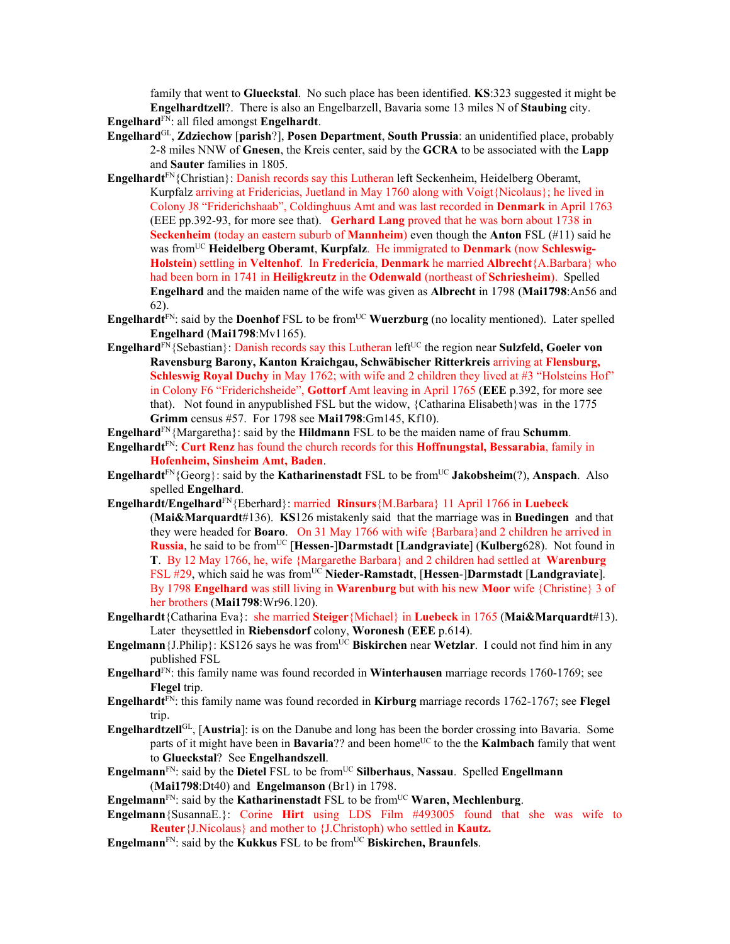family that went to **Glueckstal**. No such place has been identified. **KS**:323 suggested it might be **Engelhardtzell**?. There is also an Engelbarzell, Bavaria some 13 miles N of **Staubing** city. **Engelhard**FN: all filed amongst **Engelhardt**.

- **Engelhard**GL, **Zdziechow** [**parish**?], **Posen Department**, **South Prussia**: an unidentified place, probably 2-8 miles NNW of **Gnesen**, the Kreis center, said by the **GCRA** to be associated with the **Lapp** and **Sauter** families in 1805.
- **Engelhardt**<sup>FN</sup>{Christian}: Danish records say this Lutheran left Seckenheim, Heidelberg Oberamt, Kurpfalz arriving at Fridericias, Juetland in May 1760 along with Voigt{Nicolaus}; he lived in Colony J8 "Friderichshaab", Coldinghuus Amt and was last recorded in **Denmark** in April 1763 (EEE pp.392-93, for more see that). **Gerhard Lang** proved that he was born about 1738 in **Seckenheim** (today an eastern suburb of **Mannheim**) even though the **Anton** FSL (#11) said he was fromUC **Heidelberg Oberamt**, **Kurpfalz**. He immigrated to **Denmark** (now **Schleswig-Holstein**) settling in **Veltenhof**. In **Fredericia**, **Denmark** he married **Albrecht**{A.Barbara} who had been born in 1741 in **Heiligkreutz** in the **Odenwald** (northeast of **Schriesheim**). Spelled **Engelhard** and the maiden name of the wife was given as **Albrecht** in 1798 (**Mai1798**:An56 and 62).
- **Engelhardt**<sup>FN</sup>: said by the **Doenhof** FSL to be from<sup>UC</sup> **Wuerzburg** (no locality mentioned). Later spelled **Engelhard** (**Mai1798**:Mv1165).
- **Engelhard**<sup>FN</sup>{Sebastian}: Danish records say this Lutheran left<sup>UC</sup> the region near **Sulzfeld, Goeler von Ravensburg Barony, Kanton Kraichgau, Schwäbischer Ritterkreis** arriving at **Flensburg, Schleswig Royal Duchy** in May 1762; with wife and 2 children they lived at #3 "Holsteins Hof" in Colony F6 "Friderichsheide", **Gottorf** Amt leaving in April 1765 (**EEE** p.392, for more see that). Not found in any published FSL but the widow,  ${Catharina Elisabeth}$  was in the 1775 **Grimm** census #57. For 1798 see **Mai1798**:Gm145, Kf10).
- **Engelhard**FN{Margaretha}: said by the **Hildmann** FSL to be the maiden name of frau **Schumm**.
- **Engelhardt**FN: **Curt Renz** has found the church records for this **Hoffnungstal, Bessarabia**, family in **Hofenheim, Sinsheim Amt, Baden**.
- **Engelhardt**<sup>FN</sup>{Georg}: said by the **Katharinenstadt** FSL to be from<sup>UC</sup> **Jakobsheim**(?), **Anspach**. Also spelled **Engelhard**.
- **Engelhardt/Engelhard**FN{Eberhard}: married **Rinsurs**{M.Barbara} 11 April 1766 in **Luebeck** (**Mai&Marquardt**#136). **KS**126 mistakenly said that the marriage was in **Buedingen** and that they were headed for **Boaro**. On 31 May 1766 with wife {Barbara}and 2 children he arrived in **Russia**, he said to be fromUC [**Hessen**-]**Darmstadt** [**Landgraviate**] (**Kulberg**628). Not found in **T**. By 12 May 1766, he, wife {Margarethe Barbara} and 2 children had settled at **Warenburg** FSL #29, which said he was from<sup>UC</sup> Nieder-Ramstadt, [Hessen-]Darmstadt [Landgraviate]. By 1798 **Engelhard** was still living in **Warenburg** but with his new **Moor** wife {Christine} 3 of her brothers (**Mai1798**:Wr96.120).
- **Engelhardt**{Catharina Eva}: she married **Steiger**{Michael} in **Luebeck** in 1765 (**Mai&Marquardt**#13). Later theysettled in **Riebensdorf** colony, **Woronesh** (**EEE** p.614).
- **Engelmann** {J.Philip}: KS126 says he was from<sup>UC</sup> **Biskirchen** near **Wetzlar**. I could not find him in any published FSL
- **Engelhard**FN: this family name was found recorded in **Winterhausen** marriage records 1760-1769; see **Flegel** trip.
- **Engelhardt**FN: this family name was found recorded in **Kirburg** marriage records 1762-1767; see **Flegel** trip.
- **Engelhardtzell**GL, [**Austria**]: is on the Danube and long has been the border crossing into Bavaria. Some parts of it might have been in **Bavaria**?? and been home<sup>UC</sup> to the the **Kalmbach** family that went to **Glueckstal**? See **Engelhandszell**.
- **Engelmann**FN: said by the **Dietel** FSL to be fromUC **Silberhaus**, **Nassau**. Spelled **Engellmann** (**Mai1798**:Dt40) and **Engelmanson** (Br1) in 1798.
- Engelmann<sup>FN</sup>: said by the **Katharinenstadt** FSL to be from<sup>UC</sup> Waren, Mechlenburg.
- **Engelmann**{SusannaE.}: Corine **Hirt** using LDS Film #493005 found that she was wife to **Reuter**{J.Nicolaus} and mother to {J.Christoph) who settled in **Kautz.**
- **Engelmann**<sup>FN</sup>: said by the **Kukkus** FSL to be from<sup>UC</sup> **Biskirchen, Braunfels**.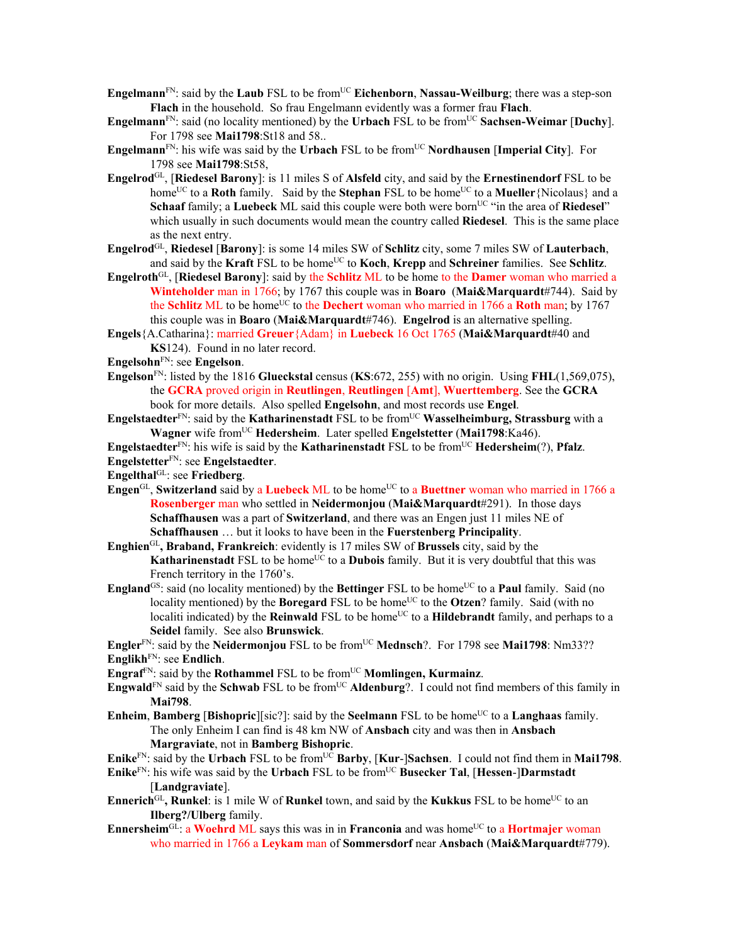- **Engelmann**<sup>FN</sup>: said by the **Laub** FSL to be from<sup>UC</sup> **Eichenborn**, **Nassau-Weilburg**; there was a step-son **Flach** in the household. So frau Engelmann evidently was a former frau **Flach**.
- **Engelmann**FN: said (no locality mentioned) by the **Urbach** FSL to be fromUC **Sachsen-Weimar** [**Duchy**]. For 1798 see **Mai1798**:St18 and 58..
- **Engelmann**<sup>FN</sup>: his wife was said by the **Urbach** FSL to be from<sup>UC</sup> **Nordhausen** [Imperial City]. For 1798 see **Mai1798**:St58,
- **Engelrod**GL, [**Riedesel Barony**]: is 11 miles S of **Alsfeld** city, and said by the **Ernestinendorf** FSL to be home<sup>UC</sup> to a **Roth** family. Said by the **Stephan** FSL to be home<sup>UC</sup> to a **Mueller** {Nicolaus} and a **Schaaf** family; a **Luebeck** ML said this couple were both were born<sup>UC</sup> "in the area of **Riedesel**" which usually in such documents would mean the country called **Riedesel**. This is the same place as the next entry.
- **Engelrod**GL, **Riedesel** [**Barony**]: is some 14 miles SW of **Schlitz** city, some 7 miles SW of **Lauterbach**, and said by the **Kraft** FSL to be home<sup>UC</sup> to **Koch**, **Krepp** and **Schreiner** families. See **Schlitz**.
- **Engelroth**GL, [**Riedesel Barony**]: said by the **Schlitz** ML to be home to the **Damer** woman who married a **Winteholder** man in 1766; by 1767 this couple was in **Boaro** (**Mai&Marquardt**#744). Said by the **Schlitz** ML to be home<sup>UC</sup> to the **Dechert** woman who married in 1766 a **Roth** man; by 1767 this couple was in **Boaro** (**Mai&Marquardt**#746). **Engelrod** is an alternative spelling.
- **Engels**{A.Catharina}: married **Greuer**{Adam} in **Luebeck** 16 Oct 1765 (**Mai&Marquardt**#40 and **KS**124). Found in no later record.
- **Engelsohn**FN: see **Engelson**.
- **Engelson**FN: listed by the 1816 **Glueckstal** census (**KS**:672, 255) with no origin. Using **FHL**(1,569,075), the **GCRA** proved origin in **Reutlingen**, **Reutlingen** [**Amt**], **Wuerttemberg**. See the **GCRA** book for more details. Also spelled **Engelsohn**, and most records use **Engel**.
- **Engelstaedter**<sup>FN</sup>: said by the **Katharinenstadt** FSL to be from<sup>UC</sup> **Wasselheimburg, Strassburg** with a **Wagner** wife fromUC **Hedersheim**. Later spelled **Engelstetter** (**Mai1798**:Ka46).
- **Engelstaedter**<sup>FN</sup>: his wife is said by the **Katharinenstadt** FSL to be from<sup>UC</sup> **Hedersheim**(?), **Pfalz**. **Engelstetter**FN: see **Engelstaedter**.

**Engelthal**GL: see **Friedberg**.

- Engen<sup>GL</sup>, Switzerland said by a Luebeck ML to be home<sup>UC</sup> to a Buettner woman who married in 1766 a **Rosenberger** man who settled in **Neidermonjou** (**Mai&Marquardt**#291). In those days **Schaffhausen** was a part of **Switzerland**, and there was an Engen just 11 miles NE of **Schaffhausen** … but it looks to have been in the **Fuerstenberg Principality**.
- **Enghien**GL**, Braband, Frankreich**: evidently is 17 miles SW of **Brussels** city, said by the **Katharinenstadt** FSL to be home<sup>UC</sup> to a **Dubois** family. But it is very doubtful that this was French territory in the 1760's.
- **England**<sup>GS</sup>: said (no locality mentioned) by the **Bettinger** FSL to be home<sup>UC</sup> to a **Paul** family. Said (no locality mentioned) by the **Boregard** FSL to be home<sup>UC</sup> to the **Otzen**? family. Said (with no localiti indicated) by the **Reinwald** FSL to be home<sup>UC</sup> to a **Hildebrandt** family, and perhaps to a **Seidel** family. See also **Brunswick**.
- **Engler**<sup>FN</sup>: said by the **Neidermonjou** FSL to be from<sup>UC</sup> **Mednsch**?. For 1798 see **Mai1798**: Nm33?? **Englikh**FN: see **Endlich**.
- **Engraf**FN: said by the **Rothammel** FSL to be fromUC **Momlingen, Kurmainz**.
- Engwald<sup>FN</sup> said by the Schwab FSL to be from<sup>UC</sup> Aldenburg?. I could not find members of this family in **Mai798**.
- **Enheim, Bamberg** [**Bishopric**][sic?]: said by the **Seelmann** FSL to be home<sup>UC</sup> to a **Langhaas** family. The only Enheim I can find is 48 km NW of **Ansbach** city and was then in **Ansbach Margraviate**, not in **Bamberg Bishopric**.
- **Enike**<sup>FN</sup>: said by the **Urbach** FSL to be from<sup>UC</sup> **Barby**, [**Kur-**]Sachsen. I could not find them in **Mai1798**.
- **Enike**FN: his wife was said by the **Urbach** FSL to be from<sup>UC</sup> **Busecker Tal**, [**Hessen-**]Darmstadt [**Landgraviate**].
- **Ennerich**<sup>GL</sup>, Runkel: is 1 mile W of Runkel town, and said by the Kukkus FSL to be home<sup>UC</sup> to an **Ilberg?/Ulberg** family.
- **Ennersheim**<sup>GL:</sup> a **Woehrd** ML says this was in in **Franconia** and was home<sup>UC</sup> to a **Hortmajer** woman who married in 1766 a **Leykam** man of **Sommersdorf** near **Ansbach** (**Mai&Marquardt**#779).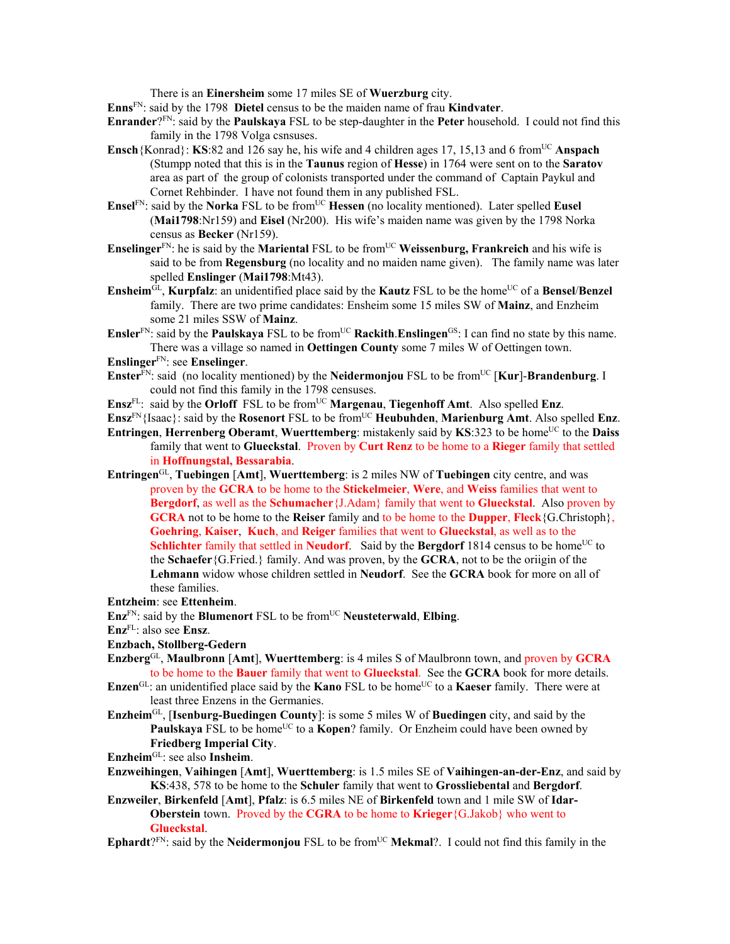There is an **Einersheim** some 17 miles SE of **Wuerzburg** city.

**Enns**FN: said by the 1798 **Dietel** census to be the maiden name of frau **Kindvater**.

- **Enrander**?FN: said by the **Paulskaya** FSL to be step-daughter in the **Peter** household. I could not find this family in the 1798 Volga csnsuses.
- **Ensch**{Konrad}: **KS**:82 and 126 say he, his wife and 4 children ages 17, 15,13 and 6 from<sup>UC</sup> Anspach (Stumpp noted that this is in the **Taunus** region of **Hesse**) in 1764 were sent on to the **Saratov** area as part of the group of colonists transported under the command of Captain Paykul and Cornet Rehbinder. I have not found them in any published FSL.
- **Ensel**<sup>FN</sup>: said by the **Norka** FSL to be from<sup>UC</sup> **Hessen** (no locality mentioned). Later spelled **Eusel** (**Mai1798**:Nr159) and **Eisel** (Nr200). His wife's maiden name was given by the 1798 Norka census as **Becker** (Nr159).
- **Enselinger**<sup>FN</sup>: he is said by the **Mariental** FSL to be from<sup>UC</sup> Weissenburg, Frankreich and his wife is said to be from **Regensburg** (no locality and no maiden name given). The family name was later spelled **Enslinger** (**Mai1798**:Mt43).
- **Ensheim** $\overline{GL}$ , **Kurpfalz**: an unidentified place said by the **Kautz** FSL to be the home<sup>UC</sup> of a **Bensel**/**Benzel** family. There are two prime candidates: Ensheim some 15 miles SW of **Mainz**, and Enzheim some 21 miles SSW of **Mainz**.
- **Ensler**<sup>FN</sup>: said by the **Paulskaya** FSL to be from<sup>UC</sup> **Rackith.Enslingen**<sup>GS</sup>: I can find no state by this name. There was a village so named in **Oettingen County** some 7 miles W of Oettingen town.
- **Enslinger**FN: see **Enselinger**.
- **Enster**<sup>FN</sup>: said (no locality mentioned) by the **Neidermonjou** FSL to be from<sup>UC</sup> [**Kur**]-**Brandenburg**. I could not find this family in the 1798 censuses.
- Ensz<sup>FL</sup>: said by the **Orloff** FSL to be from<sup>UC</sup> **Margenau**, **Tiegenhoff** Amt. Also spelled Enz.
- **Ensz**<sup>FN</sup>{Isaac}: said by the **Rosenort** FSL to be from<sup>UC</sup> **Heubuhden**, **Marienburg Amt**. Also spelled **Enz**.
- **Entringen**, **Herrenberg Oberamt**, **Wuerttemberg**: mistakenly said by **KS**:323 to be home<sup>UC</sup> to the **Daiss** family that went to **Glueckstal**. Proven by **Curt Renz** to be home to a **Rieger** family that settled in **Hoffnungstal, Bessarabia**.
- **Entringen**GL, **Tuebingen** [**Amt**], **Wuerttemberg**: is 2 miles NW of **Tuebingen** city centre, and was proven by the **GCRA** to be home to the **Stickelmeier**, **Were**, and **Weiss** families that went to **Bergdorf**, as well as the **Schumacher**{J.Adam} family that went to **Glueckstal**. Also proven by **GCRA** not to be home to the **Reiser** family and to be home to the **Dupper**, **Fleck**{G.Christoph}, **Goehring**, **Kaiser**, **Kuch**, and **Reiger** families that went to **Glueckstal**, as well as to the **Schlichter** family that settled in **Neudorf**. Said by the **Bergdorf** 1814 census to be home<sup>UC</sup> to the **Schaefer**{G.Fried.} family. And was proven, by the **GCRA**, not to be the oriigin of the **Lehmann** widow whose children settled in **Neudorf**. See the **GCRA** book for more on all of these families.
- **Entzheim**: see **Ettenheim**.
- **Enz**FN: said by the **Blumenort** FSL to be fromUC **Neusteterwald**, **Elbing**.
- **Enz**FL: also see **Ensz**.
- **Enzbach, Stollberg-Gedern**
- **Enzberg**GL, **Maulbronn** [**Amt**], **Wuerttemberg**: is 4 miles S of Maulbronn town, and proven by **GCRA** to be home to the **Bauer** family that went to **Glueckstal**. See the **GCRA** book for more details.
- **Enzen**<sup>GL</sup>: an unidentified place said by the **Kano** FSL to be home<sup>UC</sup> to a **Kaeser** family. There were at least three Enzens in the Germanies.
- **Enzheim**GL, [**Isenburg-Buedingen County**]: is some 5 miles W of **Buedingen** city, and said by the **Paulskaya** FSL to be home<sup>UC</sup> to a **Kopen**? family. Or Enzheim could have been owned by **Friedberg Imperial City**.
- **Enzheim**GL: see also **Insheim**.
- **Enzweihingen**, **Vaihingen** [**Amt**], **Wuerttemberg**: is 1.5 miles SE of **Vaihingen-an-der-Enz**, and said by **KS**:438, 578 to be home to the **Schuler** family that went to **Grossliebental** and **Bergdorf**.
- **Enzweiler**, **Birkenfeld** [**Amt**], **Pfalz**: is 6.5 miles NE of **Birkenfeld** town and 1 mile SW of **Idar-Oberstein** town. Proved by the **CGRA** to be home to **Krieger**{G.Jakob} who went to **Glueckstal**.
- **Ephardt**?FN: said by the **Neidermonjou** FSL to be from<sup>UC</sup> **Mekmal**?. I could not find this family in the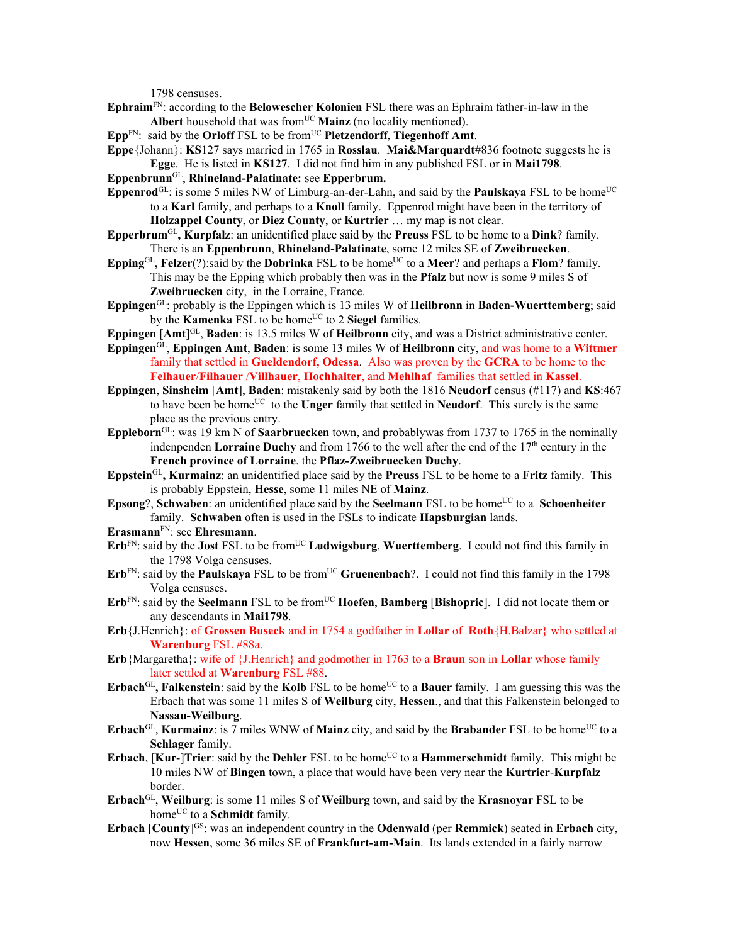1798 censuses.

- **Ephraim**FN: according to the **Belowescher Kolonien** FSL there was an Ephraim father-in-law in the Albert household that was from<sup>UC</sup> Mainz (no locality mentioned).
- **Epp**FN: said by the **Orloff** FSL to be from<sup>UC</sup> **Pletzendorff**, **Tiegenhoff** Amt.
- **Eppe**{Johann}: **KS**127 says married in 1765 in **Rosslau**. **Mai&Marquardt**#836 footnote suggests he is **Egge**. He is listed in **KS127**. I did not find him in any published FSL or in **Mai1798**.
- **Eppenbrunn**GL, **Rhineland-Palatinate:** see **Epperbrum.**
- **Eppenrod**<sup>GL</sup>: is some 5 miles NW of Limburg-an-der-Lahn, and said by the **Paulskaya** FSL to be home<sup>UC</sup> to a **Karl** family, and perhaps to a **Knoll** family. Eppenrod might have been in the territory of **Holzappel County**, or **Diez County**, or **Kurtrier** … my map is not clear.
- **Epperbrum**GL**, Kurpfalz**: an unidentified place said by the **Preuss** FSL to be home to a **Dink**? family. There is an **Eppenbrunn**, **Rhineland-Palatinate**, some 12 miles SE of **Zweibruecken**.
- **Epping**<sup>GL</sup>, **Felzer**(?):said by the **Dobrinka** FSL to be home<sup>UC</sup> to a **Meer**? and perhaps a **Flom**? family. This may be the Epping which probably then was in the **Pfalz** but now is some 9 miles S of **Zweibruecken** city, in the Lorraine, France.
- **Eppingen**GL: probably is the Eppingen which is 13 miles W of **Heilbronn** in **Baden-Wuerttemberg**; said by the **Kamenka** FSL to be home<sup>UC</sup> to 2 **Siegel** families.
- **Eppingen** [Amt<sup>[GL</sup>, **Baden**: is 13.5 miles W of **Heilbronn** city, and was a District administrative center.
- **Eppingen**GL, **Eppingen Amt**, **Baden**: is some 13 miles W of **Heilbronn** city, and was home to a **Wittmer** family that settled in **Gueldendorf, Odessa**. Also was proven by the **GCRA** to be home to the **Felhauer**/**Filhauer** /**Villhauer**, **Hochhalter**, and **Mehlhaf** families that settled in **Kassel**.
- **Eppingen**, **Sinsheim** [**Amt**], **Baden**: mistakenly said by both the 1816 **Neudorf** census (#117) and **KS**:467 to have been be homeUC to the **Unger** family that settled in **Neudorf**. This surely is the same place as the previous entry.
- **Eppleborn**GL: was 19 km N of **Saarbruecken** town, and probablywas from 1737 to 1765 in the nominally indenpenden **Lorraine Duchy** and from 1766 to the well after the end of the  $17<sup>th</sup>$  century in the **French province of Lorraine**. the **Pflaz-Zweibruecken Duchy**.
- **Eppstein**GL**, Kurmainz**: an unidentified place said by the **Preuss** FSL to be home to a **Fritz** family. This is probably Eppstein, **Hesse**, some 11 miles NE of **Mainz**.
- **Epsong**?, **Schwaben**: an unidentified place said by the **Seelmann** FSL to be home<sup>UC</sup> to a **Schoenheiter** family. **Schwaben** often is used in the FSLs to indicate **Hapsburgian** lands.
- **Erasmann**FN: see **Ehresmann**.
- $Erb<sup>FN</sup>$ : said by the **Jost** FSL to be from<sup>UC</sup> **Ludwigsburg**, **Wuerttemberg**. I could not find this family in the 1798 Volga censuses.
- Erb<sup>FN</sup>: said by the **Paulskaya** FSL to be from<sup>UC</sup> Gruenenbach?. I could not find this family in the 1798 Volga censuses.
- **Erb**FN: said by the **Seelmann** FSL to be fromUC **Hoefen**, **Bamberg** [**Bishopric**]. I did not locate them or any descendants in **Mai1798**.
- **Erb**{J.Henrich}: of **Grossen Buseck** and in 1754 a godfather in **Lollar** of **Roth**{H.Balzar} who settled at **Warenburg** FSL #88a.
- **Erb**{Margaretha}: wife of {J.Henrich} and godmother in 1763 to a **Braun** son in **Lollar** whose family later settled at **Warenburg** FSL #88.
- **Erbach**<sup>GL</sup>, Falkenstein: said by the Kolb FSL to be home<sup>UC</sup> to a Bauer family. I am guessing this was the Erbach that was some 11 miles S of **Weilburg** city, **Hessen**., and that this Falkenstein belonged to **Nassau-Weilburg**.
- **Erbach**<sup>GL</sup>, **Kurmainz**: is 7 miles WNW of **Mainz** city, and said by the **Brabander** FSL to be home<sup>UC</sup> to a **Schlager** family.
- **Erbach, [Kur-]Trier**: said by the **Dehler** FSL to be home<sup>UC</sup> to a **Hammerschmidt** family. This might be 10 miles NW of **Bingen** town, a place that would have been very near the **Kurtrier**-**Kurpfalz** border.
- **Erbach**GL, **Weilburg**: is some 11 miles S of **Weilburg** town, and said by the **Krasnoyar** FSL to be homeUC to a **Schmidt** family.
- **Erbach** [County]<sup>GS</sup>: was an independent country in the **Odenwald** (per **Remmick**) seated in **Erbach** city, now **Hessen**, some 36 miles SE of **Frankfurt-am-Main**. Its lands extended in a fairly narrow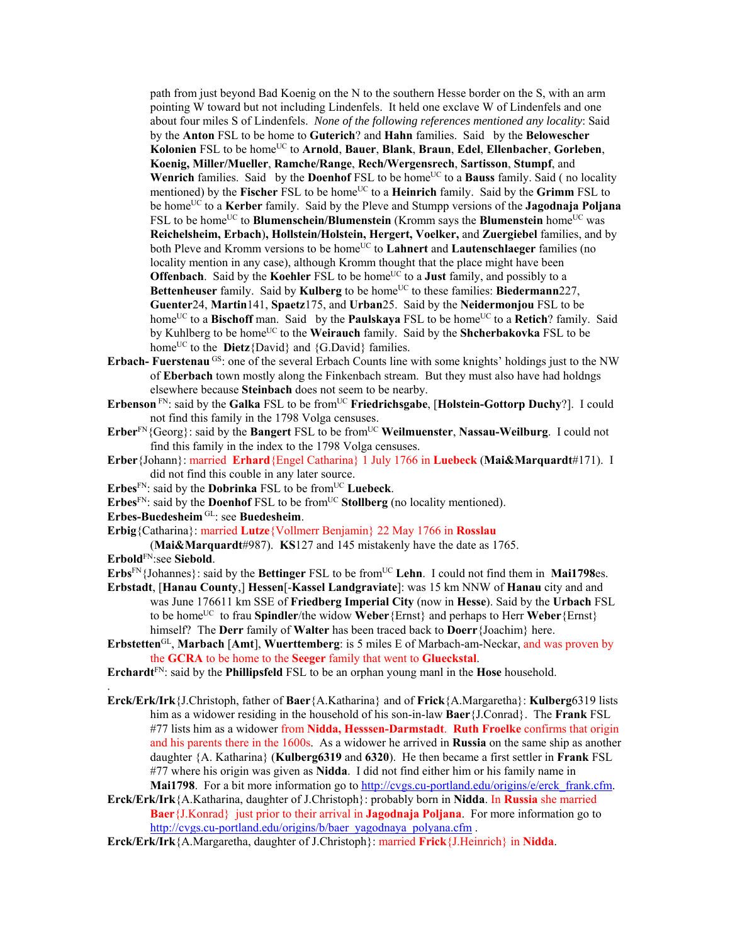path from just beyond Bad Koenig on the N to the southern Hesse border on the S, with an arm pointing W toward but not including Lindenfels. It held one exclave W of Lindenfels and one about four miles S of Lindenfels. *None of the following references mentioned any locality*: Said by the **Anton** FSL to be home to **Guterich**? and **Hahn** families. Said by the **Belowescher Kolonien** FSL to be homeUC to **Arnold**, **Bauer**, **Blank**, **Braun**, **Edel**, **Ellenbacher**, **Gorleben**, **Koenig, Miller/Mueller**, **Ramche/Range**, **Rech/Wergensrech**, **Sartisson**, **Stumpf**, and Wenrich families. Said by the **Doenhof** FSL to be home<sup>UC</sup> to a **Bauss** family. Said ( no locality mentioned) by the **Fischer** FSL to be home<sup>UC</sup> to a **Heinrich** family. Said by the **Grimm** FSL to be homeUC to a **Kerber** family. Said by the Pleve and Stumpp versions of the **Jagodnaja Poljana**  FSL to be home<sup>UC</sup> to **Blumenschein/Blumenstein** (Kromm says the **Blumenstein** home<sup>UC</sup> was **Reichelsheim, Erbach**)**, Hollstein/Holstein, Hergert, Voelker,** and **Zuergiebel** families, and by both Pleve and Kromm versions to be home<sup>UC</sup> to **Lahnert** and **Lautenschlaeger** families (no locality mention in any case), although Kromm thought that the place might have been **Offenbach**. Said by the **Koehler** FSL to be home<sup>UC</sup> to a **Just** family, and possibly to a Bettenheuser family. Said by Kulberg to be home<sup>UC</sup> to these families: Biedermann227, **Guenter**24, **Martin**141, **Spaetz**175, and **Urban**25. Said by the **Neidermonjou** FSL to be home<sup>UC</sup> to a **Bischoff** man. Said by the **Paulskaya** FSL to be home<sup>UC</sup> to a **Retich**? family. Said by Kuhlberg to be home<sup>UC</sup> to the **Weirauch** family. Said by the **Shcherbakovka** FSL to be home<sup>UC</sup> to the **Dietz**{David} and {G.David} families.

- **Erbach-** Fuerstenau <sup>GS</sup>: one of the several Erbach Counts line with some knights' holdings just to the NW of **Eberbach** town mostly along the Finkenbach stream. But they must also have had holdngs elsewhere because **Steinbach** does not seem to be nearby.
- **Erbenson** FN: said by the **Galka** FSL to be from<sup>UC</sup> **Friedrichsgabe**, [Holstein-Gottorp Duchy?]. I could not find this family in the 1798 Volga censuses.
- **Erber**<sup>FN</sup>{Georg}: said by the **Bangert** FSL to be from<sup>UC</sup> Weilmuenster, Nassau-Weilburg. I could not find this family in the index to the 1798 Volga censuses.
- **Erber**{Johann}: married **Erhard**{Engel Catharina} 1 July 1766 in **Luebeck** (**Mai&Marquardt**#171). I did not find this couble in any later source.
- **Erbes**<sup>FN</sup>: said by the **Dobrinka** FSL to be from<sup>UC</sup> **Luebeck**.
- Erbes<sup>FN</sup>: said by the **Doenhof** FSL to be from<sup>UC</sup> **Stollberg** (no locality mentioned).
- **Erbes-Buedesheim** GL: see **Buedesheim**.

**Erbig**{Catharina}: married **Lutze**{Vollmerr Benjamin} 22 May 1766 in **Rosslau**

(**Mai&Marquardt**#987). **KS**127 and 145 mistakenly have the date as 1765.

**Erbold**FN:see **Siebold**.

.

- **Erbs**<sup>FN</sup>{Johannes}: said by the **Bettinger** FSL to be from<sup>UC</sup> Lehn. I could not find them in **Mai1798**es.
- **Erbstadt**, [**Hanau County**,] **Hessen**[-**Kassel Landgraviate**]: was 15 km NNW of **Hanau** city and and was June 176611 km SSE of **Friedberg Imperial City** (now in **Hesse**). Said by the **Urbach** FSL to be home<sup>UC</sup> to frau **Spindler**/the widow **Weber** {Ernst} and perhaps to Herr **Weber** {Ernst} himself? The **Derr** family of **Walter** has been traced back to **Doerr**{Joachim} here.
- **Erbstetten**GL, **Marbach** [**Amt**], **Wuerttemberg**: is 5 miles E of Marbach-am-Neckar, and was proven by the **GCRA** to be home to the **Seeger** family that went to **Glueckstal**.
- **Erchardt**FN: said by the **Phillipsfeld** FSL to be an orphan young manl in the **Hose** household.
- **Erck/Erk/Irk**{J.Christoph, father of **Baer**{A.Katharina} and of **Frick**{A.Margaretha}: **Kulberg**6319 lists him as a widower residing in the household of his son-in-law **Baer**{J.Conrad}. The **Frank** FSL #77 lists him as a widower from **Nidda, Hesssen-Darmstadt**. **Ruth Froelke** confirms that origin and his parents there in the 1600s. As a widower he arrived in **Russia** on the same ship as another daughter {A. Katharina} (**Kulberg6319** and **6320**). He then became a first settler in **Frank** FSL #77 where his origin was given as **Nidda**. I did not find either him or his family name in **Mai1798**. For a bit more information go to http://cvgs.cu-portland.edu/origins/e/erck\_frank.cfm.
- **Erck/Erk/Irk**{A.Katharina, daughter of J.Christoph}: probably born in **Nidda**. In **Russia** she married **Baer**{J.Konrad} just prior to their arrival in **Jagodnaja Poljana**. For more information go to http://cvgs.cu-portland.edu/origins/b/baer\_yagodnaya\_polyana.cfm.
- **Erck/Erk/Irk**{A.Margaretha, daughter of J.Christoph}: married **Frick**{J.Heinrich} in **Nidda**.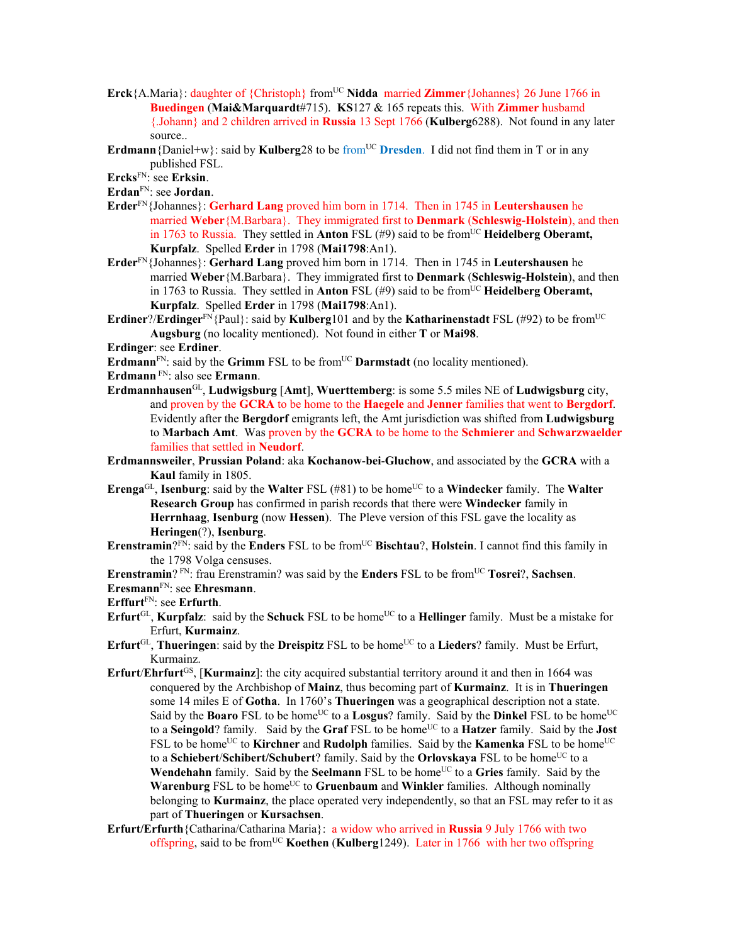- **Erck**{A.Maria}: daughter of {Christoph} from<sup>UC</sup> Nidda married **Zimmer**{Johannes} 26 June 1766 in **Buedingen** (**Mai&Marquardt**#715). **KS**127 & 165 repeats this. With **Zimmer** husbamd {.Johann} and 2 children arrived in **Russia** 13 Sept 1766 (**Kulberg**6288). Not found in any later source..
- **Erdmann** {Daniel+w}: said by **Kulberg**28 to be from<sup>UC</sup> **Dresden**. I did not find them in T or in any published FSL.

**Ercks**FN: see **Erksin**.

**Erdan**FN: see **Jordan**.

- **Erder**FN{Johannes}: **Gerhard Lang** proved him born in 1714. Then in 1745 in **Leutershausen** he married **Weber**{M.Barbara}. They immigrated first to **Denmark** (**Schleswig-Holstein**), and then in 1763 to Russia. They settled in **Anton** FSL (#9) said to be from<sup>UC</sup> Heidelberg Oberamt, **Kurpfalz**. Spelled **Erder** in 1798 (**Mai1798**:An1).
- **Erder**FN{Johannes}: **Gerhard Lang** proved him born in 1714. Then in 1745 in **Leutershausen** he married **Weber**{M.Barbara}. They immigrated first to **Denmark** (**Schleswig-Holstein**), and then in 1763 to Russia. They settled in **Anton** FSL  $(49)$  said to be from<sup>UC</sup> **Heidelberg Oberamt, Kurpfalz**. Spelled **Erder** in 1798 (**Mai1798**:An1).
- **Erdiner?/Erdinger**<sup>FN</sup>{Paul}: said by **Kulberg**101 and by the **Katharinenstadt** FSL (#92) to be from<sup>UC</sup> **Augsburg** (no locality mentioned). Not found in either **T** or **Mai98**.

**Erdinger**: see **Erdiner**.

**Erdmann**<sup>FN</sup>: said by the **Grimm** FSL to be from<sup>UC</sup> **Darmstadt** (no locality mentioned).

**Erdmann** FN: also see **Ermann**.

- **Erdmannhausen**GL, **Ludwigsburg** [**Amt**], **Wuerttemberg**: is some 5.5 miles NE of **Ludwigsburg** city, and proven by the **GCRA** to be home to the **Haegele** and **Jenner** families that went to **Bergdorf**. Evidently after the **Bergdorf** emigrants left, the Amt jurisdiction was shifted from **Ludwigsburg** to **Marbach Amt**. Was proven by the **GCRA** to be home to the **Schmierer** and **Schwarzwaelder** families that settled in **Neudorf**.
- **Erdmannsweiler**, **Prussian Poland**: aka **Kochanow**-**bei**-**Gluchow**, and associated by the **GCRA** with a **Kaul** family in 1805.
- **Erenga**<sup>GL</sup>, **Isenburg**: said by the **Walter** FSL (#81) to be home<sup>UC</sup> to a **Windecker** family. The **Walter Research Group** has confirmed in parish records that there were **Windecker** family in **Herrnhaag**, **Isenburg** (now **Hessen**). The Pleve version of this FSL gave the locality as **Heringen**(?), **Isenburg**.
- **Erenstramin**?<sup>FN</sup>: said by the **Enders** FSL to be from<sup>UC</sup> **Bischtau**?, **Holstein**. I cannot find this family in the 1798 Volga censuses.
- **Erenstramin**? FN: frau Erenstramin? was said by the **Enders** FSL to be fromUC **Tosrei**?, **Sachsen**.

**Eresmann**FN: see **Ehresmann**.

**Erffurt**FN: see **Erfurth**.

- **Erfurt**<sup>GL</sup>, **Kurpfalz**: said by the **Schuck** FSL to be home<sup>UC</sup> to a **Hellinger** family. Must be a mistake for Erfurt, **Kurmainz**.
- **Erfurt**<sup>GL</sup>, **Thueringen**: said by the **Dreispitz** FSL to be home<sup>UC</sup> to a **Lieders**? family. Must be Erfurt, Kurmainz.
- **Erfurt**/**Ehrfurt**GS, [**Kurmainz**]: the city acquired substantial territory around it and then in 1664 was conquered by the Archbishop of **Mainz**, thus becoming part of **Kurmainz**. It is in **Thueringen** some 14 miles E of **Gotha**. In 1760's **Thueringen** was a geographical description not a state. Said by the **Boaro** FSL to be home<sup>UC</sup> to a **Losgus**? family. Said by the **Dinkel** FSL to be home<sup>UC</sup> to a **Seingold**? family. Said by the **Graf** FSL to be home<sup>UC</sup> to a **Hatzer** family. Said by the **Jost** FSL to be home<sup>UC</sup> to **Kirchner** and **Rudolph** families. Said by the **Kamenka** FSL to be home<sup>UC</sup> to a **Schiebert/Schibert/Schubert**? family. Said by the **Orlovskaya** FSL to be home<sup>UC</sup> to a **Wendehahn** family. Said by the **Seelmann** FSL to be home<sup>UC</sup> to a **Gries** family. Said by the **Warenburg** FSL to be home<sup>UC</sup> to **Gruenbaum** and **Winkler** families. Although nominally belonging to **Kurmainz**, the place operated very independently, so that an FSL may refer to it as part of **Thueringen** or **Kursachsen**.
- **Erfurt/Erfurth**{Catharina/Catharina Maria}:a widow who arrived in **Russia** 9 July 1766 with two offspring, said to be fromUC **Koethen** (**Kulberg**1249). Later in 1766 with her two offspring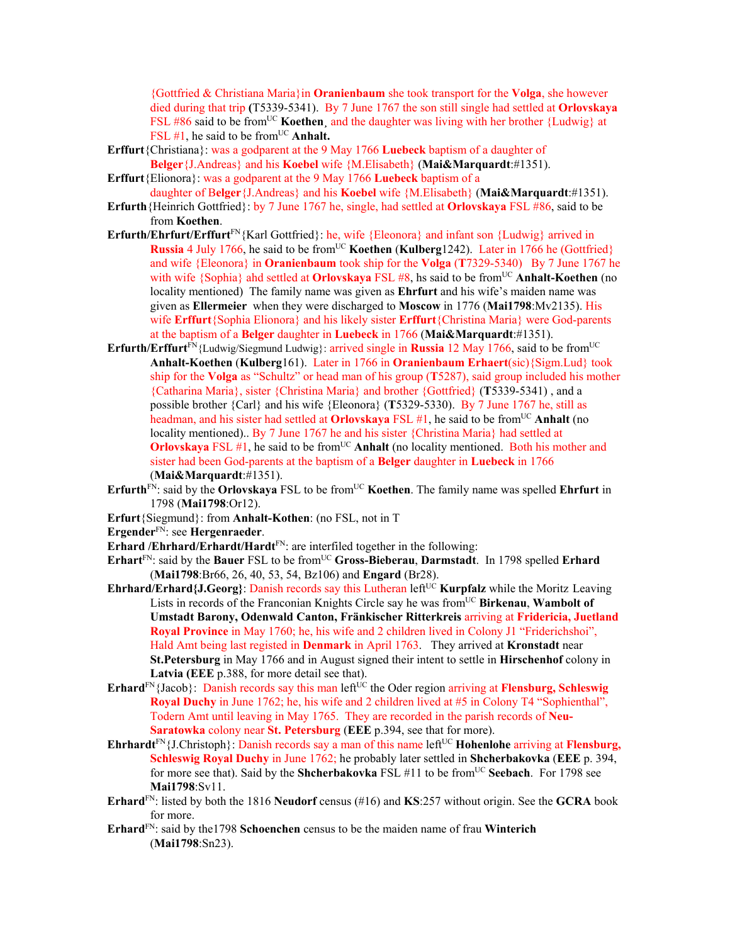{Gottfried & Christiana Maria}in **Oranienbaum** she took transport for the **Volga**, she however died during that trip **(**T5339-5341). By 7 June 1767 the son still single had settled at **Orlovskaya** FSL #86 said to be from<sup>UC</sup> **Koethen**, and the daughter was living with her brother {Ludwig} at FSL #1, he said to be from<sup>UC</sup> Anhalt.

- **Erffurt**{Christiana}: was a godparent at the 9 May 1766 **Luebeck** baptism of a daughter of **Belger**{J.Andreas} and his **Koebel** wife {M.Elisabeth} (**Mai&Marquardt**:#1351).
- **Erffurt**{Elionora}: was a godparent at the 9 May 1766 **Luebeck** baptism of a daughter of B**elger**{J.Andreas} and his **Koebel** wife {M.Elisabeth} (**Mai&Marquardt**:#1351).
- **Erfurth**{Heinrich Gottfried}: by 7 June 1767 he, single, had settled at **Orlovskaya** FSL #86, said to be from **Koethen**.
- Erfurth/Ehrfurt/Erffurt<sup>FN</sup>{Karl Gottfried}: he, wife {Eleonora} and infant son {Ludwig} arrived in **Russia** 4 July 1766, he said to be from<sup>UC</sup> **Koethen (Kulberg**1242). Later in 1766 he (Gottfried) and wife {Eleonora} in **Oranienbaum** took ship for the **Volga** (**T**7329-5340) By 7 June 1767 he with wife {Sophia} ahd settled at **Orlovskaya** FSL #8, hs said to be from<sup>UC</sup> Anhalt-Koethen (no locality mentioned)The family name was given as **Ehrfurt** and his wife's maiden name was given as **Ellermeier** when they were discharged to **Moscow** in 1776 (**Mai1798**:Mv2135). His wife **Erffurt**{Sophia Elionora} and his likely sister **Erffurt**{Christina Maria} were God-parents at the baptism of a **Belger** daughter in **Luebeck** in 1766 (**Mai&Marquardt**:#1351).
- **Erfurth/Erffurt**<sup>FN</sup>{Ludwig/Siegmund Ludwig}: arrived single in **Russia** 12 May 1766, said to be from<sup>UC</sup> **Anhalt-Koethen** (**Kulberg**161). Later in 1766 in **Oranienbaum Erhaert**(sic){Sigm.Lud} took ship for the **Volga** as "Schultz" or head man of his group (**T**5287), said group included his mother {Catharina Maria}, sister {Christina Maria} and brother {Gottfried} (**T**5339-5341) , and a possible brother {Carl} and his wife {Eleonora} (**T**5329-5330). By 7 June 1767 he, still as headman, and his sister had settled at **Orlovskaya** FSL #1, he said to be from<sup>UC</sup> **Anhalt** (no locality mentioned).. By 7 June 1767 he and his sister {Christina Maria} had settled at **Orlovskaya** FSL #1, he said to be from<sup>UC</sup> Anhalt (no locality mentioned. Both his mother and sister had been God-parents at the baptism of a **Belger** daughter in **Luebeck** in 1766 (**Mai&Marquardt**:#1351).
- **Erfurth**<sup>FN</sup>: said by the **Orlovskaya** FSL to be from<sup>UC</sup> **Koethen**. The family name was spelled **Ehrfurt** in 1798 (**Mai1798**:Or12).
- **Erfurt**{Siegmund}: from **Anhalt-Kothen**: (no FSL, not in T
- **Ergender**FN: see **Hergenraeder**.
- **Erhard /Ehrhard/Erhardt/Hardt**<sup>FN</sup>: are interfiled together in the following:
- **Erhart**<sup>FN</sup>: said by the **Bauer** FSL to be from<sup>UC</sup> Gross-Bieberau, Darmstadt. In 1798 spelled **Erhard** (**Mai1798**:Br66, 26, 40, 53, 54, Bz106) and **Engard** (Br28).
- **Ehrhard/Erhard{J.Georg}:** Danish records say this Lutheran left<sup>UC</sup> **Kurpfalz** while the Moritz Leaving Lists in records of the Franconian Knights Circle say he was from<sup>UC</sup> Birkenau, Wambolt of **Umstadt Barony, Odenwald Canton, Fränkischer Ritterkreis** arriving at **Fridericia, Juetland Royal Province** in May 1760; he, his wife and 2 children lived in Colony J1 "Friderichshoi", Hald Amt being last registed in **Denmark** in April 1763. They arrived at **Kronstadt** near **St.Petersburg** in May 1766 and in August signed their intent to settle in **Hirschenhof** colony in **Latvia (EEE** p.388, for more detail see that).
- $E$ rhard<sup>FN</sup>{Jacob}: Danish records say this man left<sup>UC</sup> the Oder region arriving at **Flensburg, Schleswig Royal Duchy** in June 1762; he, his wife and 2 children lived at #5 in Colony T4 "Sophienthal", Todern Amt until leaving in May 1765. They are recorded in the parish records of **Neu-Saratowka** colony near **St. Petersburg** (**EEE** p.394, see that for more).
- **Ehrhardt**<sup>FN</sup>{J.Christoph}: Danish records say a man of this name left<sup>UC</sup> **Hohenlohe** arriving at **Flensburg**, **Schleswig Royal Duchy** in June 1762; he probably later settled in **Shcherbakovka** (**EEE** p. 394, for more see that). Said by the **Shcherbakovka** FSL #11 to be from<sup>UC</sup> **Seebach**. For 1798 see **Mai1798**:Sv11.
- **Erhard**FN: listed by both the 1816 **Neudorf** census (#16) and **KS**:257 without origin. See the **GCRA** book for more.
- **Erhard**FN: said by the1798 **Schoenchen** census to be the maiden name of frau **Winterich** (**Mai1798**:Sn23).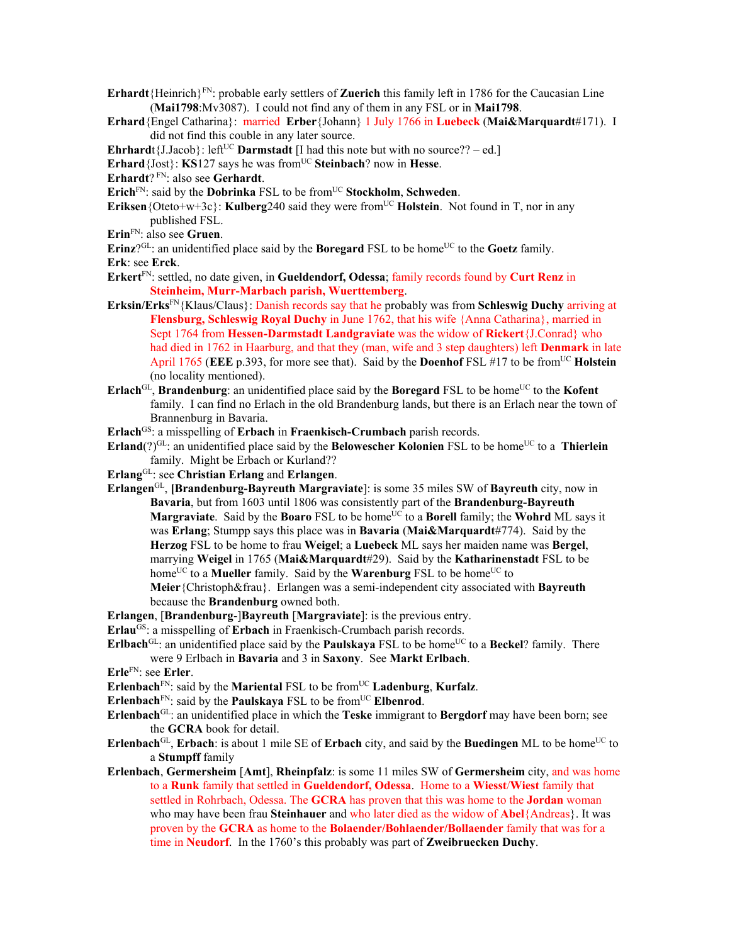- **Erhardt**{Heinrich}FN: probable early settlers of **Zuerich** this family left in 1786 for the Caucasian Line (**Mai1798**:Mv3087). I could not find any of them in any FSL or in **Mai1798**.
- **Erhard**{Engel Catharina}: married **Erber**{Johann} 1 July 1766 in **Luebeck** (**Mai&Marquardt**#171). I did not find this couble in any later source.
- **Ehrhard**t{J.Jacob}: left<sup>UC</sup> **Darmstadt** [I had this note but with no source?? ed.]
- **Erhard**{Jost}: **KS**127 says he was from<sup>UC</sup> Steinbach? now in Hesse.
- **Erhardt**? FN: also see **Gerhardt**.
- **Erich**FN: said by the **Dobrinka** FSL to be fromUC **Stockholm**, **Schweden**.
- **Eriksen** {Oteto+w+3c}: **Kulberg**240 said they were from<sup>UC</sup> **Holstein**. Not found in T, nor in any published FSL.
- **Erin**FN: also see **Gruen**.

**Erinz**?GL: an unidentified place said by the **Boregard** FSL to be home<sup>UC</sup> to the **Goetz** family.

- **Erk**: see **Erck**.
- **Erkert**FN: settled, no date given, in **Gueldendorf, Odessa**; family records found by **Curt Renz** in **Steinheim, Murr-Marbach parish, Wuerttemberg**.
- **Erksin/Erks**FN{Klaus/Claus}: Danish records say that he probably was from **Schleswig Duchy** arriving at **Flensburg, Schleswig Royal Duchy** in June 1762, that his wife {Anna Catharina}, married in Sept 1764 from **Hessen-Darmstadt Landgraviate** was the widow of **Rickert**{J.Conrad} who had died in 1762 in Haarburg, and that they (man, wife and 3 step daughters) left **Denmark** in late April 1765 (**EEE** p.393, for more see that). Said by the **Doenhof** FSL #17 to be fromUC **Holstein** (no locality mentioned).
- **Erlach**<sup>GL</sup>, **Brandenburg**: an unidentified place said by the **Boregard** FSL to be home<sup>UC</sup> to the **Kofent** family. I can find no Erlach in the old Brandenburg lands, but there is an Erlach near the town of Brannenburg in Bavaria.
- **Erlach<sup>GS</sup>:** a misspelling of **Erbach** in **Fraenkisch-Crumbach** parish records.
- **Erland** $(?)^{GL}$ : an unidentified place said by the **Belowescher Kolonien** FSL to be home<sup>UC</sup> to a **Thierlein** family. Might be Erbach or Kurland??
- **Erlang**GL: see **Christian Erlang** and **Erlangen**.
- **Erlangen**GL, **[Brandenburg-Bayreuth Margraviate**]: is some 35 miles SW of **Bayreuth** city, now in **Bavaria**, but from 1603 until 1806 was consistently part of the **Brandenburg-Bayreuth Margraviate**. Said by the **Boaro** FSL to be home<sup>UC</sup> to a **Borell** family; the **Wohrd** ML says it was **Erlang**; Stumpp says this place was in **Bavaria** (**Mai&Marquardt**#774). Said by the **Herzog** FSL to be home to frau **Weigel**; a **Luebeck** ML says her maiden name was **Bergel**, marrying **Weigel** in 1765 (**Mai&Marquardt**#29). Said by the **Katharinenstadt** FSL to be home<sup>UC</sup> to a **Mueller** family. Said by the **Warenburg** FSL to be home<sup>UC</sup> to **Meier**{Christoph&frau}. Erlangen was a semi-independent city associated with **Bayreuth** because the **Brandenburg** owned both.
- **Erlangen**, [**Brandenburg**-]**Bayreuth** [**Margraviate**]: is the previous entry.
- **Erlau<sup>GS</sup>:** a misspelling of **Erbach** in Fraenkisch-Crumbach parish records.
- **Erlbach**<sup>GL</sup>: an unidentified place said by the **Paulskaya** FSL to be home<sup>UC</sup> to a **Beckel**? family. There were 9 Erlbach in **Bavaria** and 3 in **Saxony**. See **Markt Erlbach**.
- **Erle**FN: see **Erler**.
- **Erlenbach**<sup>FN</sup>: said by the **Mariental** FSL to be from<sup>UC</sup> **Ladenburg**, **Kurfalz**.
- **Erlenbach**<sup>FN</sup>: said by the **Paulskaya** FSL to be from<sup>UC</sup> **Elbenrod**.
- **Erlenbach**GL: an unidentified place in which the **Teske** immigrant to **Bergdorf** may have been born; see the **GCRA** book for detail.
- **Erlenbach**<sup>GL</sup>, **Erbach**: is about 1 mile SE of **Erbach** city, and said by the **Buedingen** ML to be home<sup>UC</sup> to a **Stumpff** family
- **Erlenbach**, **Germersheim** [**Amt**], **Rheinpfalz**: is some 11 miles SW of **Germersheim** city, and was home to a **Runk** family that settled in **Gueldendorf, Odessa**. Home to a **Wiesst**/**Wiest** family that settled in Rohrbach, Odessa. The **GCRA** has proven that this was home to the **Jordan** woman who may have been frau **Steinhauer** and who later died as the widow of **Abel**{Andreas}. It was proven by the **GCRA** as home to the **Bolaender/Bohlaender/Bollaender** family that was for a time in **Neudorf**. In the 1760's this probably was part of **Zweibruecken Duchy**.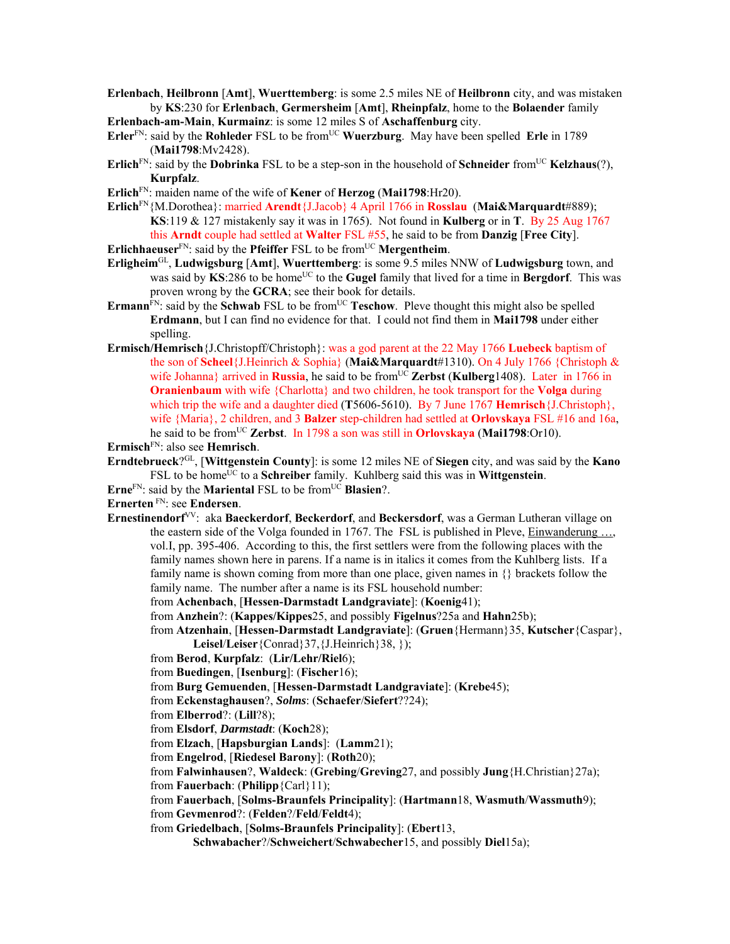- **Erlenbach**, **Heilbronn** [**Amt**], **Wuerttemberg**: is some 2.5 miles NE of **Heilbronn** city, and was mistaken by **KS**:230 for **Erlenbach**, **Germersheim** [**Amt**], **Rheinpfalz**, home to the **Bolaender** family
- **Erlenbach-am-Main**, **Kurmainz**: is some 12 miles S of **Aschaffenburg** city.
- **Erler**<sup>FN</sup>: said by the **Rohleder** FSL to be from<sup>UC</sup> **Wuerzburg**. May have been spelled **Erle** in 1789 (**Mai1798**:Mv2428).
- **Erlich**<sup>FN</sup>: said by the **Dobrinka** FSL to be a step-son in the household of **Schneider** from<sup>UC</sup> **Kelzhaus**(?), **Kurpfalz**.
- **Erlich**FN: maiden name of the wife of **Kener** of **Herzog** (**Mai1798**:Hr20).
- **Erlich**FN{M.Dorothea}: married **Arendt**{J.Jacob} 4 April 1766 in **Rosslau** (**Mai&Marquardt**#889); **KS**:119 & 127 mistakenly say it was in 1765). Not found in **Kulberg** or in **T**. By 25 Aug 1767 this **Arndt** couple had settled at **Walter** FSL #55, he said to be from **Danzig** [**Free City**].

**Erlichhaeuser**<sup>FN</sup>: said by the **Pfeiffer** FSL to be from<sup>UC</sup> **Mergentheim**.

- **Erligheim**GL, **Ludwigsburg** [**Amt**], **Wuerttemberg**: is some 9.5 miles NNW of **Ludwigsburg** town, and was said by **KS**:286 to be home<sup>UC</sup> to the **Gugel** family that lived for a time in **Bergdorf**. This was proven wrong by the **GCRA**; see their book for details.
- **Ermann**<sup>FN</sup>: said by the **Schwab** FSL to be from<sup>UC</sup> **Teschow**. Pleve thought this might also be spelled **Erdmann**, but I can find no evidence for that. I could not find them in **Mai1798** under either spelling.
- **Ermisch/Hemrisch**{J.Christopff/Christoph}: was a god parent at the 22 May 1766 **Luebeck** baptism of the son of **Scheel**{J.Heinrich & Sophia} (**Mai&Marquardt**#1310). On 4 July 1766 {Christoph & wife Johanna} arrived in **Russia**, he said to be from<sup>UC</sup> **Zerbst** (**Kulberg**1408). Later in 1766 in **Oranienbaum** with wife {Charlotta} and two children, he took transport for the **Volga** during which trip the wife and a daughter died (**T**5606-5610). By 7 June 1767 **Hemrisch**{J.Christoph}, wife {Maria}, 2 children, and 3 **Balzer** step-children had settled at **Orlovskaya** FSL #16 and 16a, he said to be fromUC **Zerbst**. In 1798 a son was still in **Orlovskaya** (**Mai1798**:Or10).

**Ermisch**FN: also see **Hemrisch**.

- **Erndtebrueck**?GL, [**Wittgenstein County**]: is some 12 miles NE of **Siegen** city, and was said by the **Kano** FSL to be home<sup>UC</sup> to a **Schreiber** family. Kuhlberg said this was in **Wittgenstein**.
- **Erne**<sup>FN</sup>: said by the **Mariental** FSL to be from<sup>UC</sup> **Blasien**?.
- **Ernerten** FN: see **Endersen**.
- **Ernestinendorf**VV: aka **Baeckerdorf**, **Beckerdorf**, and **Beckersdorf**, was a German Lutheran village on the eastern side of the Volga founded in 1767. The FSL is published in Pleve, Einwanderung ..., vol.I, pp. 395-406. According to this, the first settlers were from the following places with the family names shown here in parens. If a name is in italics it comes from the Kuhlberg lists. If a family name is shown coming from more than one place, given names in {} brackets follow the family name. The number after a name is its FSL household number:

from **Achenbach**, [**Hessen-Darmstadt Landgraviate**]: (**Koenig**41);

- from **Anzhein**?: (**Kappes/Kippes**25, and possibly **Figelnus**?25a and **Hahn**25b);
- from **Atzenhain**, [**Hessen-Darmstadt Landgraviate**]: (**Gruen**{Hermann}35, **Kutscher**{Caspar}, **Leisel**/**Leiser**{Conrad}37,{J.Heinrich}38, });
- from **Berod**, **Kurpfalz**: (**Lir/Lehr/Riel**6);
- from **Buedingen**, [**Isenburg**]: (**Fischer**16);
- from **Burg Gemuenden**, [**Hessen-Darmstadt Landgraviate**]: (**Krebe**45);
- from **Eckenstaghausen**?, *Solms*: (**Schaefer**/**Siefert**??24);
- from **Elberrod**?: (**Lill**?8);
- from **Elsdorf**, *Darmstadt*: (**Koch**28);
- from **Elzach**, [**Hapsburgian Lands**]: (**Lamm**21);
- from **Engelrod**, [**Riedesel Barony**]: (**Roth**20);
- from **Falwinhausen**?, **Waldeck**: (**Grebing**/**Greving**27, and possibly **Jung**{H.Christian}27a);
- from **Fauerbach**: (**Philipp**{Carl}11);
- from **Fauerbach**, [**Solms-Braunfels Principality**]: (**Hartmann**18, **Wasmuth**/**Wassmuth**9);
- from **Gevmenrod**?: (**Felden**?/**Feld**/**Feldt**4);
- from **Griedelbach**, [**Solms-Braunfels Principality**]: (**Ebert**13,
	- **Schwabacher**?/**Schweichert**/**Schwabecher**15, and possibly **Diel**15a);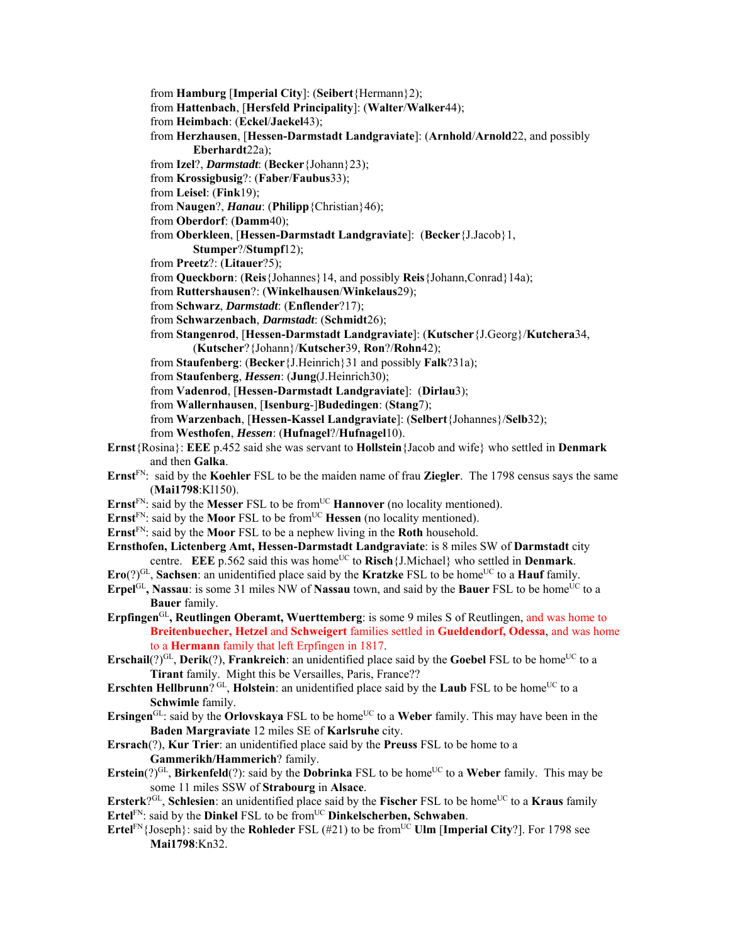from **Hamburg** [**Imperial City**]: (**Seibert**{Hermann}2); from **Hattenbach**, [**Hersfeld Principality**]: (**Walter**/**Walker**44); from **Heimbach**: (**Eckel**/**Jaekel**43); from **Herzhausen**, [**Hessen-Darmstadt Landgraviate**]: (**Arnhold**/**Arnold**22, and possibly **Eberhardt**22a); from **Izel**?, *Darmstadt*: (**Becker**{Johann}23); from **Krossigbusig**?: (**Faber**/**Faubus**33); from **Leisel**: (**Fink**19); from **Naugen**?, *Hanau*: (**Philipp**{Christian}46); from **Oberdorf**: (**Damm**40); from **Oberkleen**, [**Hessen-Darmstadt Landgraviate**]: (**Becker**{J.Jacob}1, **Stumper**?/**Stumpf**12); from **Preetz**?: (**Litauer**?5); from **Queckborn**: (**Reis**{Johannes}14, and possibly **Reis**{Johann,Conrad}14a); from **Ruttershausen**?: (**Winkelhausen**/**Winkelaus**29); from **Schwarz**, *Darmstadt*: (**Enflender**?17); from **Schwarzenbach**, *Darmstadt*: (**Schmidt**26); from **Stangenrod**, [**Hessen-Darmstadt Landgraviate**]: (**Kutscher**{J.Georg}/**Kutchera**34, (**Kutscher**?{Johann}/**Kutscher**39, **Ron**?/**Rohn**42); from **Staufenberg**: (**Becker**{J.Heinrich}31 and possibly **Falk**?31a); from **Staufenberg**, *Hessen*: (**Jung**(J.Heinrich30); from **Vadenrod**, [**Hessen-Darmstadt Landgraviate**]: (**Dirlau**3); from **Wallernhausen**, [**Isenburg**-]**Budedingen**: (**Stang**7); from **Warzenbach**, [**Hessen-Kassel Landgraviate**]: (**Selbert**{Johannes}/**Selb**32); from **Westhofen**, *Hessen*: (**Hufnagel**?/**Hufnagel**10). **Ernst**{Rosina}: **EEE** p.452 said she was servant to **Hollstein**{Jacob and wife} who settled in **Denmark** and then **Galka**. **Ernst**FN: said by the **Koehler** FSL to be the maiden name of frau **Ziegler**. The 1798 census says the same (**Mai1798**:Kl150). **Ernst**<sup>FN</sup>: said by the **Messer** FSL to be from<sup>UC</sup> **Hannover** (no locality mentioned). **Ernst**<sup>FN</sup>: said by the **Moor** FSL to be from<sup>UC</sup> **Hessen** (no locality mentioned). **Ernst**FN: said by the **Moor** FSL to be a nephew living in the **Roth** household. **Ernsthofen, Lictenberg Amt, Hessen-Darmstadt Landgraviate**: is 8 miles SW of **Darmstadt** city centre. **EEE** p.562 said this was home<sup>UC</sup> to **Risch**{J.Michael} who settled in **Denmark**. **Ero**(?)<sup>GL</sup>, **Sachsen**: an unidentified place said by the **Kratzke** FSL to be home<sup>UC</sup> to a **Hauf** family. **Erpel**GL, **Nassau**: is some 31 miles NW of **Nassau** town, and said by the **Bauer** FSL to be home<sup>UC</sup> to a **Bauer** family. **Erpfingen**GL**, Reutlingen Oberamt, Wuerttemberg**: is some 9 miles S of Reutlingen, and was home to **Breitenbuecher, Hetzel** and **Schweigert** families settled in **Gueldendorf, Odessa**, and was home to a **Hermann** family that left Erpfingen in 1817. **Erschail**(?)<sup>GL</sup>, **Derik**(?), **Frankreich**: an unidentified place said by the **Goebel** FSL to be home<sup>UC</sup> to a **Tirant** family. Might this be Versailles, Paris, France?? **Erschten Hellbrunn**?  $\text{GL}_1$ , **Holstein**: an unidentified place said by the **Laub** FSL to be home<sup>UC</sup> to a **Schwimle** family. **Ersingen**<sup>GL</sup>: said by the **Orlovskaya** FSL to be home<sup>UC</sup> to a **Weber** family. This may have been in the **Baden Margraviate** 12 miles SE of **Karlsruhe** city. **Ersrach**(?), **Kur Trier**: an unidentified place said by the **Preuss** FSL to be home to a **Gammerikh/Hammerich**? family. **Erstein**(?)<sup>GL</sup>, **Birkenfeld**(?): said by the **Dobrinka** FSL to be home<sup>UC</sup> to a Weber family. This may be some 11 miles SSW of **Strabourg** in **Alsace**. **Ersterk**?<sup>GL</sup>, **Schlesien**: an unidentified place said by the **Fischer** FSL to be home<sup>UC</sup> to a **Kraus** family **Ertel**<sup>FN</sup>: said by the **Dinkel** FSL to be from<sup>UC</sup> **Dinkelscherben, Schwaben**. **Ertel**<sup>FN</sup>{Joseph}: said by the **Rohleder** FSL (#21) to be from<sup>UC</sup> **Ulm** [Imperial City?]. For 1798 see **Mai1798**:Kn32.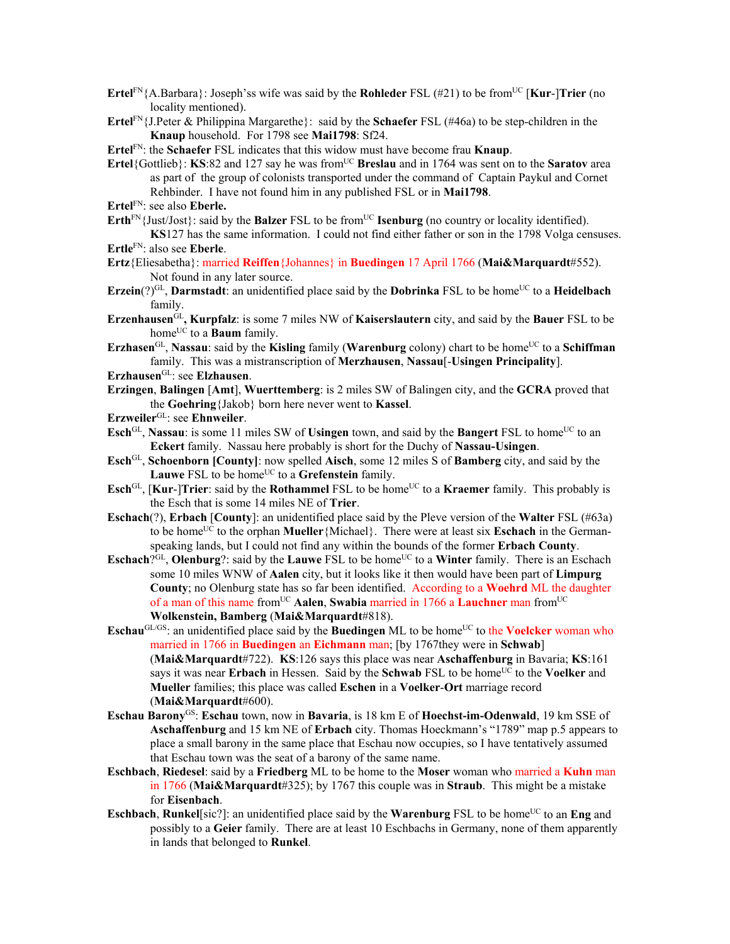- **Ertel**<sup>FN</sup>{A.Barbara}: Joseph'ss wife was said by the **Rohleder** FSL (#21) to be from<sup>UC</sup> [**Kur-**]**Trier** (no locality mentioned).
- **Ertel**FN{J.Peter & Philippina Margarethe}: said by the **Schaefer** FSL (#46a) to be step-children in the **Knaup** household. For 1798 see **Mai1798**: Sf24.

**Ertel**FN: the **Schaefer** FSL indicates that this widow must have become frau **Knaup**.

- **Ertel**{Gottlieb}: **KS**:82 and 127 say he was from<sup>UC</sup> **Breslau** and in 1764 was sent on to the **Saratov** area as part of the group of colonists transported under the command of Captain Paykul and Cornet Rehbinder. I have not found him in any published FSL or in **Mai1798**.
- **Ertel**FN: see also **Eberle.**
- **Erth**<sup>FN</sup>{Just/Jost}: said by the **Balzer** FSL to be from<sup>UC</sup> **Isenburg** (no country or locality identified). **KS**127 has the same information. I could not find either father or son in the 1798 Volga censuses.

**Ertle**FN: also see **Eberle**.

- **Ertz**{Eliesabetha}: married **Reiffen**{Johannes} in **Buedingen** 17 April 1766 (**Mai&Marquardt**#552). Not found in any later source.
- **Erzein**(?)<sup>GL</sup>, **Darmstadt**: an unidentified place said by the **Dobrinka** FSL to be home<sup>UC</sup> to a **Heidelbach** family.
- **Erzenhausen**GL**, Kurpfalz**: is some 7 miles NW of **Kaiserslautern** city, and said by the **Bauer** FSL to be home<sup>UC</sup> to a **Baum** family.
- **Erzhasen**<sup>GL</sup>, **Nassau**: said by the **Kisling** family (**Warenburg** colony) chart to be home<sup>UC</sup> to a **Schiffman** family. This was a mistranscription of **Merzhausen**, **Nassau**[-**Usingen Principality**].

**Erzhausen**GL: see **Elzhausen**.

- **Erzingen**, **Balingen** [**Amt**], **Wuerttemberg**: is 2 miles SW of Balingen city, and the **GCRA** proved that the **Goehring**{Jakob} born here never went to **Kassel**.
- **Erzweiler**GL: see **Ehnweiler**.
- **Esch**<sup>GL</sup>, **Nassau**: is some 11 miles SW of **Usingen** town, and said by the **Bangert** FSL to home<sup>UC</sup> to an **Eckert** family. Nassau here probably is short for the Duchy of **Nassau-Usingen**.
- **Esch**GL, **Schoenborn [County]**: now spelled **Aisch**, some 12 miles S of **Bamberg** city, and said by the Lauwe FSL to be home<sup>UC</sup> to a Grefenstein family.
- **Esch**<sup>GL</sup>, [**Kur-**]**Trier**: said by the **Rothammel** FSL to be home<sup>UC</sup> to a **Kraemer** family. This probably is the Esch that is some 14 miles NE of **Trier**.
- **Eschach**(?), **Erbach** [**County**]: an unidentified place said by the Pleve version of the **Walter** FSL (#63a) to be home<sup>UC</sup> to the orphan **Mueller**{Michael}. There were at least six **Eschach** in the Germanspeaking lands, but I could not find any within the bounds of the former **Erbach County**.
- **Eschach**?GL, **Olenburg**?: said by the **Lauwe** FSL to be home<sup>UC</sup> to a **Winter** family. There is an Eschach some 10 miles WNW of **Aalen** city, but it looks like it then would have been part of **Limpurg County**; no Olenburg state has so far been identified. According to a **Woehrd** ML the daughter of a man of this name fromUC **Aalen**, **Swabia** married in 1766 a **Lauchner** man fromUC **Wolkenstein, Bamberg** (**Mai&Marquardt**#818).
- **Eschau**<sup>GL/GS</sup>: an unidentified place said by the **Buedingen** ML to be home<sup>UC</sup> to the **Voelcker** woman who married in 1766 in **Buedingen** an **Eichmann** man; [by 1767they were in **Schwab**] (**Mai&Marquardt**#722). **KS**:126 says this place was near **Aschaffenburg** in Bavaria; **KS**:161 says it was near **Erbach** in Hessen. Said by the **Schwab** FSL to be home<sup>UC</sup> to the **Voelker** and **Mueller** families; this place was called **Eschen** in a **Voelker**-**Ort** marriage record (**Mai&Marquardt**#600).
- **Eschau Barony**GS: **Eschau** town, now in **Bavaria**, is 18 km E of **Hoechst-im-Odenwald**, 19 km SSE of **Aschaffenburg** and 15 km NE of **Erbach** city. Thomas Hoeckmann's "1789" map p.5 appears to place a small barony in the same place that Eschau now occupies, so I have tentatively assumed that Eschau town was the seat of a barony of the same name.
- **Eschbach**, **Riedesel**: said by a **Friedberg** ML to be home to the **Moser** woman who married a **Kuhn** man in 1766 (**Mai&Marquardt**#325); by 1767 this couple was in **Straub**. This might be a mistake for **Eisenbach**.
- **Eschbach, Runkel**[sic?]: an unidentified place said by the **Warenburg** FSL to be home<sup>UC</sup> to an **Eng** and possibly to a **Geier** family. There are at least 10 Eschbachs in Germany, none of them apparently in lands that belonged to **Runkel**.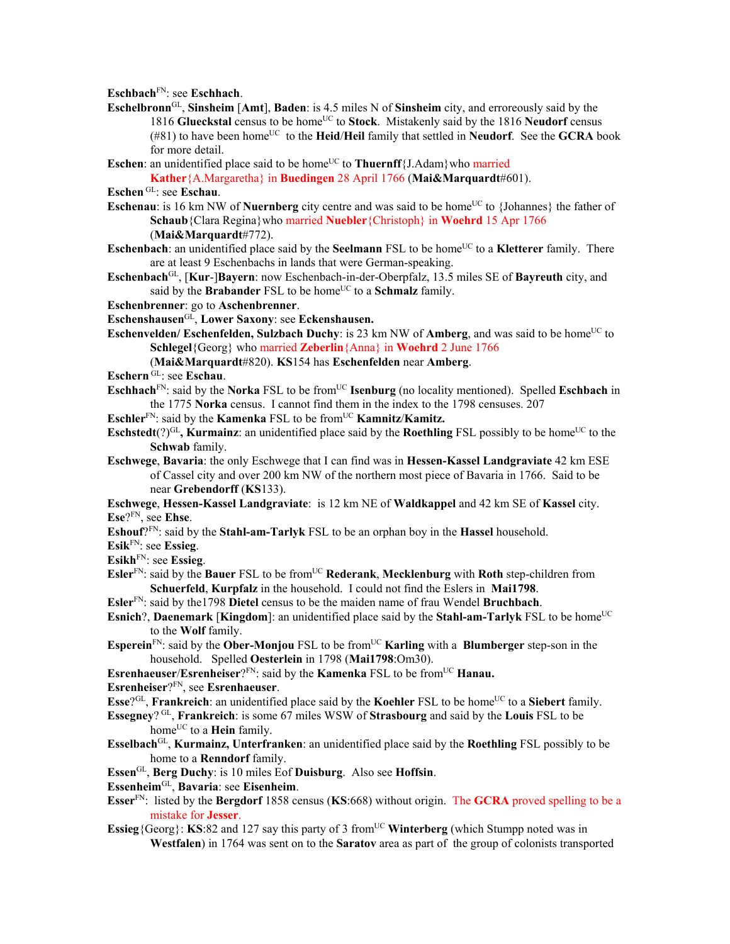**Eschbach**FN: see **Eschhach**.

- **Eschelbronn**GL, **Sinsheim** [**Amt**], **Baden**: is 4.5 miles N of **Sinsheim** city, and erroreously said by the 1816 Glueckstal census to be home<sup>UC</sup> to Stock. Mistakenly said by the 1816 Neudorf census  $(481)$  to have been home<sup>UC</sup> to the **Heid/Heil** family that settled in **Neudorf**. See the **GCRA** book for more detail.
- **Eschen**: an unidentified place said to be home<sup>UC</sup> to **Thuernff**{J.Adam}who married

**Kather**{A.Margaretha} in **Buedingen** 28 April 1766 (**Mai&Marquardt**#601). **Eschen** GL: see **Eschau**.

- **Eschenau**: is 16 km NW of **Nuernberg** city centre and was said to be home<sup>UC</sup> to {Johannes} the father of **Schaub**{Clara Regina}who married **Nuebler**{Christoph} in **Woehrd** 15 Apr 1766 (**Mai&Marquardt**#772).
- **Eschenbach**: an unidentified place said by the **Seelmann** FSL to be home<sup>UC</sup> to a **Kletterer** family. There are at least 9 Eschenbachs in lands that were German-speaking.
- **Eschenbach**GL, [**Kur**-]**Bayern**: now Eschenbach-in-der-Oberpfalz, 13.5 miles SE of **Bayreuth** city, and said by the **Brabander** FSL to be home<sup>UC</sup> to a **Schmalz** family.

**Eschenbrenner**: go to **Aschenbrenner**.

- **Eschenshausen**GL, **Lower Saxony**: see **Eckenshausen.**
- **Eschenvelden/ Eschenfelden, Sulzbach Duchy**: is 23 km NW of **Amberg**, and was said to be home<sup>UC</sup> to **Schlegel**{Georg} who married **Zeberlin**{Anna} in **Woehrd** 2 June 1766

(**Mai&Marquardt**#820). **KS**154 has **Eschenfelden** near **Amberg**.

**Eschern** GL: see **Eschau**.

- **Eschhach**<sup>FN</sup>: said by the **Norka** FSL to be from<sup>UC</sup> **Isenburg** (no locality mentioned). Spelled **Eschbach** in the 1775 **Norka** census. I cannot find them in the index to the 1798 censuses. 207
- **Eschler**<sup>FN</sup>: said by the **Kamenka** FSL to be from<sup>UC</sup> **Kamnitz/Kamitz.**
- **Eschstedt**(?)<sup>GL</sup>, **Kurmainz**: an unidentified place said by the **Roethling** FSL possibly to be home<sup>UC</sup> to the **Schwab** family.
- **Eschwege**, **Bavaria**: the only Eschwege that I can find was in **Hessen-Kassel Landgraviate** 42 km ESE of Cassel city and over 200 km NW of the northern most piece of Bavaria in 1766. Said to be near **Grebendorff** (**KS**133).
- **Eschwege**, **Hessen-Kassel Landgraviate**: is 12 km NE of **Waldkappel** and 42 km SE of **Kassel** city. **Ese**?FN, see **Ehse**.
- **Eshouf**?FN: said by the **Stahl-am-Tarlyk** FSL to be an orphan boy in the **Hassel** household.

**Esik**FN: see **Essieg**.

**Esikh**FN: see **Essieg**.

- **Esler**<sup>FN</sup>: said by the **Bauer** FSL to be from<sup>UC</sup> **Rederank**, **Mecklenburg** with **Roth** step-children from **Schuerfeld**, **Kurpfalz** in the household. I could not find the Eslers in **Mai1798**.
- **Esler**FN: said by the1798 **Dietel** census to be the maiden name of frau Wendel **Bruchbach**.
- **Esnich**?, **Daenemark** [**Kingdom**]: an unidentified place said by the **Stahl-am-Tarlyk** FSL to be home<sup>UC</sup> to the **Wolf** family.
- **Esperein**<sup>FN</sup>: said by the **Ober-Monjou** FSL to be from<sup>UC</sup> **Karling** with a **Blumberger** step-son in the household. Spelled **Oesterlein** in 1798 (**Mai1798**:Om30).

**Esrenhaeuser/Esrenheiser**?FN: said by the **Kamenka** FSL to be from<sup>UC</sup> **Hanau.** 

**Esrenheiser**?FN, see **Esrenhaeuser**.

**Esse**?<sup>GL</sup>, **Frankreich**: an unidentified place said by the **Koehler** FSL to be home<sup>UC</sup> to a **Siebert** family.

- **Essegney**? GL, **Frankreich**: is some 67 miles WSW of **Strasbourg** and said by the **Louis** FSL to be home<sup>UC</sup> to a **Hein** family.
- **Esselbach**GL, **Kurmainz, Unterfranken**: an unidentified place said by the **Roethling** FSL possibly to be home to a **Renndorf** family.

**Essen**GL, **Berg Duchy**: is 10 miles Eof **Duisburg**. Also see **Hoffsin**.

**Essenheim**GL, **Bavaria**: see **Eisenheim**.

- **Esser**FN: listed by the **Bergdorf** 1858 census (**KS**:668) without origin. The **GCRA** proved spelling to be a mistake for **Jesser**.
- **Essieg**{Georg}: **KS**:82 and 127 say this party of 3 from<sup>UC</sup> **Winterberg** (which Stumpp noted was in **Westfalen**) in 1764 was sent on to the **Saratov** area as part of the group of colonists transported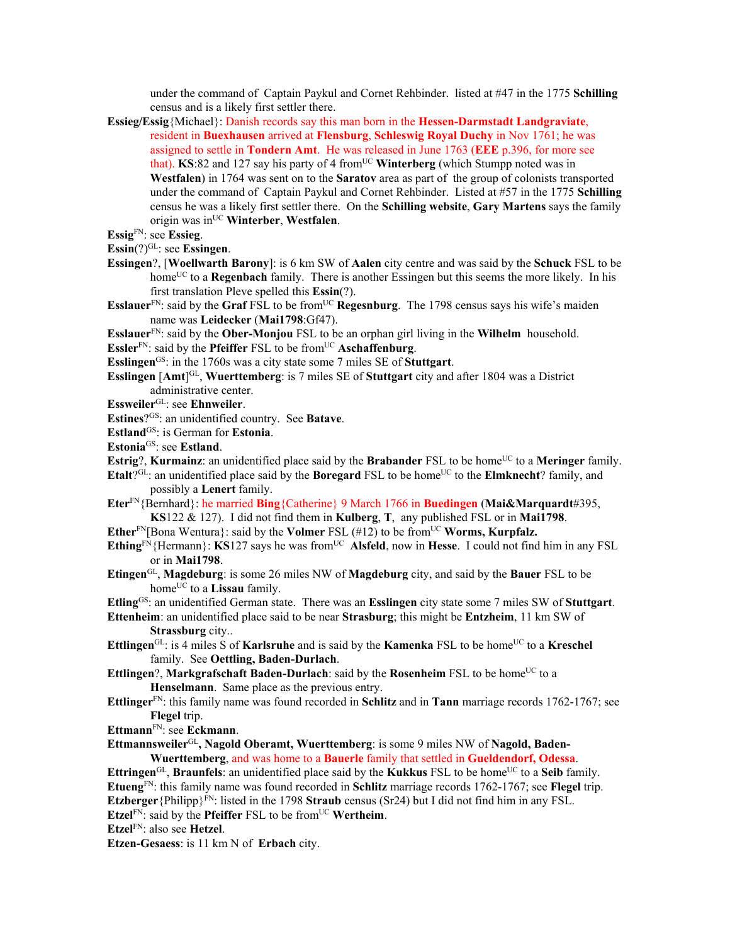under the command of Captain Paykul and Cornet Rehbinder. listed at #47 in the 1775 **Schilling** census and is a likely first settler there.

- **Essieg/Essig**{Michael}: Danish records say this man born in the **Hessen-Darmstadt Landgraviate**, resident in **Buexhausen** arrived at **Flensburg**, **Schleswig Royal Duchy** in Nov 1761; he was assigned to settle in **Tondern Amt**. He was released in June 1763 (**EEE** p.396, for more see that). **KS**:82 and 127 say his party of 4 fromUC **Winterberg** (which Stumpp noted was in **Westfalen**) in 1764 was sent on to the **Saratov** area as part of the group of colonists transported under the command of Captain Paykul and Cornet Rehbinder. Listed at #57 in the 1775 **Schilling** census he was a likely first settler there. On the **Schilling website**, **Gary Martens** says the family origin was inUC **Winterber**, **Westfalen**.
- **Essig**FN: see **Essieg**.
- **Essin**(?)GL: see **Essingen**.
- **Essingen**?, [**Woellwarth Barony**]: is 6 km SW of **Aalen** city centre and was said by the **Schuck** FSL to be homeUC to a **Regenbach** family. There is another Essingen but this seems the more likely. In his first translation Pleve spelled this **Essin**(?).
- **Esslauer**FN: said by the **Graf** FSL to be from<sup>UC</sup> **Regesnburg**. The 1798 census says his wife's maiden name was **Leidecker** (**Mai1798**:Gf47).

**Esslauer**FN: said by the **Ober-Monjou** FSL to be an orphan girl living in the **Wilhelm** household.

**Essler**<sup>FN</sup>: said by the **Pfeiffer** FSL to be from<sup>UC</sup> **Aschaffenburg**.

**Esslingen**GS: in the 1760s was a city state some 7 miles SE of **Stuttgart**.

- **Esslingen** [**Amt**] GL, **Wuerttemberg**: is 7 miles SE of **Stuttgart** city and after 1804 was a District administrative center.
- **Essweiler**GL: see **Ehnweiler**.

**Estines**?GS: an unidentified country. See **Batave**.

**Estland**<sup>GS</sup>: is German for **Estonia**.

**Estonia**GS: see **Estland**.

**Estrig**?, **Kurmainz**: an unidentified place said by the **Brabander** FSL to be home<sup>UC</sup> to a **Meringer** family.

**Etalt**<sup>2GL</sup>: an unidentified place said by the **Boregard** FSL to be home<sup>UC</sup> to the **Elmknecht**? family, and possibly a **Lenert** family.

**Eter**FN{Bernhard}: he married **Bing**{Catherine} 9 March 1766 in **Buedingen** (**Mai&Marquardt**#395,

**KS**122 & 127). I did not find them in **Kulberg**, **T**, any published FSL or in **Mai1798**.

**Ether**<sup>FN</sup>[Bona Wentura}: said by the **Volmer** FSL (#12) to be from<sup>UC</sup> **Worms, Kurpfalz.** 

**Ething**FN{Hermann}: **KS**127 says he was from<sup>UC</sup> **Alsfeld**, now in **Hesse**. I could not find him in any FSL or in **Mai1798**.

**Etingen**GL, **Magdeburg**: is some 26 miles NW of **Magdeburg** city, and said by the **Bauer** FSL to be home<sup>UC</sup> to a **Lissau** family.

**Etling**GS: an unidentified German state. There was an **Esslingen** city state some 7 miles SW of **Stuttgart**.

- **Ettenheim**: an unidentified place said to be near **Strasburg**; this might be **Entzheim**, 11 km SW of **Strassburg** city..
- **Ettlingen**<sup>GL</sup>: is 4 miles S of **Karlsruhe** and is said by the **Kamenka** FSL to be home<sup>UC</sup> to a **Kreschel** family. See **Oettling, Baden-Durlach**.
- **Ettlingen?, Markgrafschaft Baden-Durlach:** said by the **Rosenheim** FSL to be home<sup>UC</sup> to a **Henselmann**. Same place as the previous entry.
- **Ettlinger**FN: this family name was found recorded in **Schlitz** and in **Tann** marriage records 1762-1767; see **Flegel** trip.

**Ettmann**FN: see **Eckmann**.

**Ettmannsweiler**GL**, Nagold Oberamt, Wuerttemberg**: is some 9 miles NW of **Nagold, Baden-Wuerttemberg**, and was home to a **Bauerle** family that settled in **Gueldendorf, Odessa**.

**Ettringen**<sup>GL</sup>, **Braunfels**: an unidentified place said by the **Kukkus** FSL to be home<sup>UC</sup> to a **Seib** family. **Etueng**FN: this family name was found recorded in **Schlitz** marriage records 1762-1767; see **Flegel** trip. **Etzberger** {Philipp} $F_N$ : listed in the 1798 **Straub** census (Sr24) but I did not find him in any FSL. **Etzel**<sup>FN:</sup> said by the **Pfeiffer** FSL to be from<sup>UC</sup> **Wertheim**.

**Etzel**FN: also see **Hetzel**.

**Etzen-Gesaess**: is 11 km N of **Erbach** city.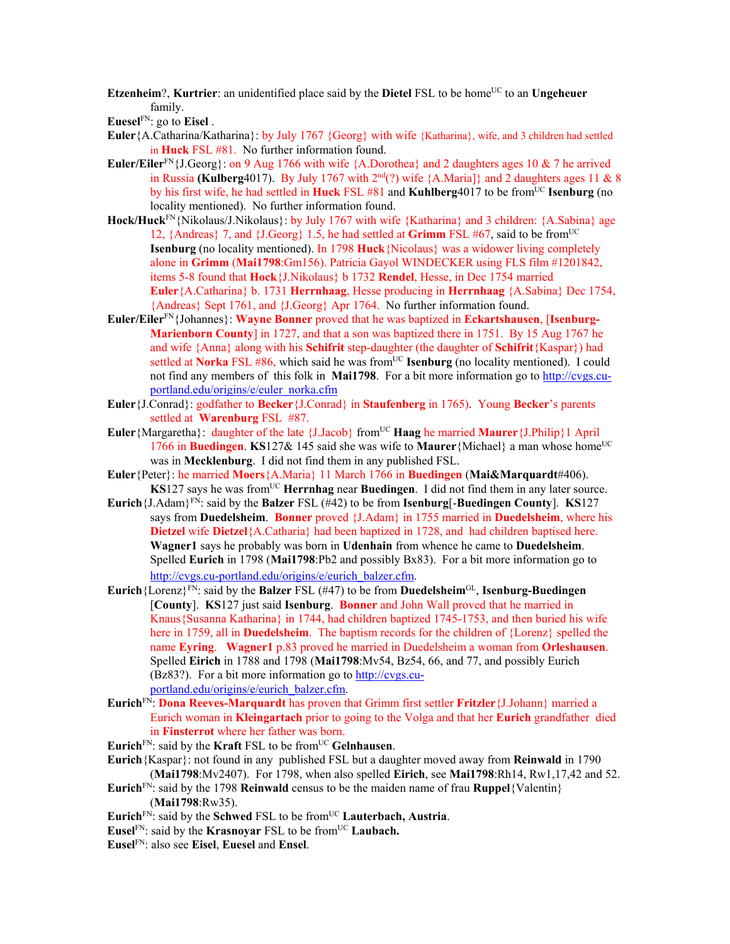**Etzenheim**?, **Kurtrier**: an unidentified place said by the **Dietel** FSL to be home<sup>UC</sup> to an **Ungeheuer** family.

**Euesel**FN: go to **Eisel** .

- **Euler**{A.Catharina/Katharina}: by July 1767 {Georg} with wife {Katharina}, wife, and 3 children had settled in **Huck** FSL #81. No further information found.
- **Euler/Eiler**<sup>FN</sup>{J.Georg}: on 9 Aug 1766 with wife {A.Dorothea} and 2 daughters ages 10 & 7 he arrived in Russia **(Kulberg**4017). By July 1767 with  $2^{nd}(?)$  wife  ${A.Maria}$  and 2 daughters ages 11 & 8 by his first wife, he had settled in **Huck** FSL #81 and **Kuhlberg**4017 to be fromUC **Isenburg** (no locality mentioned). No further information found.
- **Hock/Huck**FN{Nikolaus/J.Nikolaus}: by July 1767 with wife {Katharina} and 3 children: {A.Sabina} age 12, {Andreas} 7, and {J.Georg} 1.5, he had settled at **Grimm** FSL #67, said to be fromUC **Isenburg** (no locality mentioned). In 1798 **Huck**{Nicolaus} was a widower living completely alone in **Grimm** (**Mai1798**:Gm156). Patricia Gayol WINDECKER using FLS film #1201842, items 5-8 found that **Hock**{J.Nikolaus} b 1732 **Rendel**, Hesse, in Dec 1754 married **Euler**{A.Catharina} b. 1731 **Herrnhaag**, Hesse producing in **Herrnhaag** {A.Sabina} Dec 1754, {Andreas} Sept 1761, and {J.Georg} Apr 1764. No further information found.
- **Euler/Eiler**FN{Johannes}: **Wayne Bonner** proved that he was baptized in **Eckartshausen**, [**Isenburg-Marienborn County**] in 1727, and that a son was baptized there in 1751. By 15 Aug 1767 he and wife {Anna} along with his **Schifrit** step-daughter (the daughter of **Schifrit**{Kaspar}) had settled at **Norka** FSL #86, which said he was from<sup>UC</sup> **Isenburg** (no locality mentioned). I could not find any members of this folk in **Mai1798**. For a bit more information go to http://cvgs.cuportland.edu/origins/e/euler\_norka.cfm
- **Euler**{J.Conrad}: godfather to **Becker**{J.Conrad} in **Staufenberg** in 1765). Young **Becker**'s parents settled at **Warenburg** FSL #87.
- Euler {Margaretha}: daughter of the late {J.Jacob} from<sup>UC</sup> **Haag he married Maurer** {J.Philip}1 April 1766 in **Buedingen**. **KS**127& 145 said she was wife to **Maurer**{Michael} a man whose home<sup>UC</sup> was in **Mecklenburg**. I did not find them in any published FSL.
- **Euler**{Peter}: he married **Moers**{A.Maria} 11 March 1766 in **Buedingen** (**Mai&Marquardt**#406). **KS**127 says he was from<sup>UC</sup> **Herrnhag** near **Buedingen**. I did not find them in any later source.
- **Eurich**{J.Adam}<sup>FN</sup>: said by the **Balzer** FSL ( $#42$ ) to be from **Isenburg**[-**Buedingen** County]. **KS**127 says from **Duedelsheim**. **Bonner** proved {J.Adam} in 1755 married in **Duedelsheim**, where his **Dietzel** wife **Dietzel**{A.Catharia} had been baptized in 1728, and had children baptised here. **Wagner1** says he probably was born in **Udenhain** from whence he came to **Duedelsheim**. Spelled **Eurich** in 1798 (**Mai1798**:Pb2 and possibly Bx83). For a bit more information go to http://cvgs.cu-portland.edu/origins/e/eurich\_balzer.cfm.
- **Eurich**{Lorenz}FN: said by the **Balzer** FSL (#47) to be from **Duedelsheim**GL, **Isenburg-Buedingen** [**County**]. **KS**127 just said **Isenburg**. **Bonner** and John Wall proved that he married in Knaus{Susanna Katharina} in 1744, had children baptized 1745-1753, and then buried his wife here in 1759, all in **Duedelsheim**. The baptism records for the children of {Lorenz} spelled the name **Eyring**. **Wagner1** p.83 proved he married in Duedelsheim a woman from **Orleshausen**. Spelled **Eirich** in 1788 and 1798 (**Mai1798**:Mv54, Bz54, 66, and 77, and possibly Eurich (Bz83?). For a bit more information go to http://cvgs.cuportland.edu/origins/e/eurich\_balzer.cfm.
- **Eurich**FN: **Dona Reeves-Marquardt** has proven that Grimm first settler **Fritzler**{J.Johann} married a Eurich woman in **Kleingartach** prior to going to the Volga and that her **Eurich** grandfather died in **Finsterrot** where her father was born.
- **Eurich**FN: said by the **Kraft** FSL to be fromUC **Gelnhausen**.
- **Eurich**{Kaspar}: not found in any published FSL but a daughter moved away from **Reinwald** in 1790 (**Mai1798**:Mv2407). For 1798, when also spelled **Eirich**, see **Mai1798**:Rh14, Rw1,17,42 and 52.
- **Eurich**FN: said by the 1798 **Reinwald** census to be the maiden name of frau **Ruppel**{Valentin} (**Mai1798**:Rw35).
- **Eurich** $F_N$ : said by the **Schwed** FSL to be from<sup>UC</sup> **Lauterbach, Austria**.
- **Eusel<sup>FN</sup>: said by the <b>Krasnoyar** FSL to be from<sup>UC</sup> **Laubach.**
- **Eusel**FN: also see **Eisel**, **Euesel** and **Ensel**.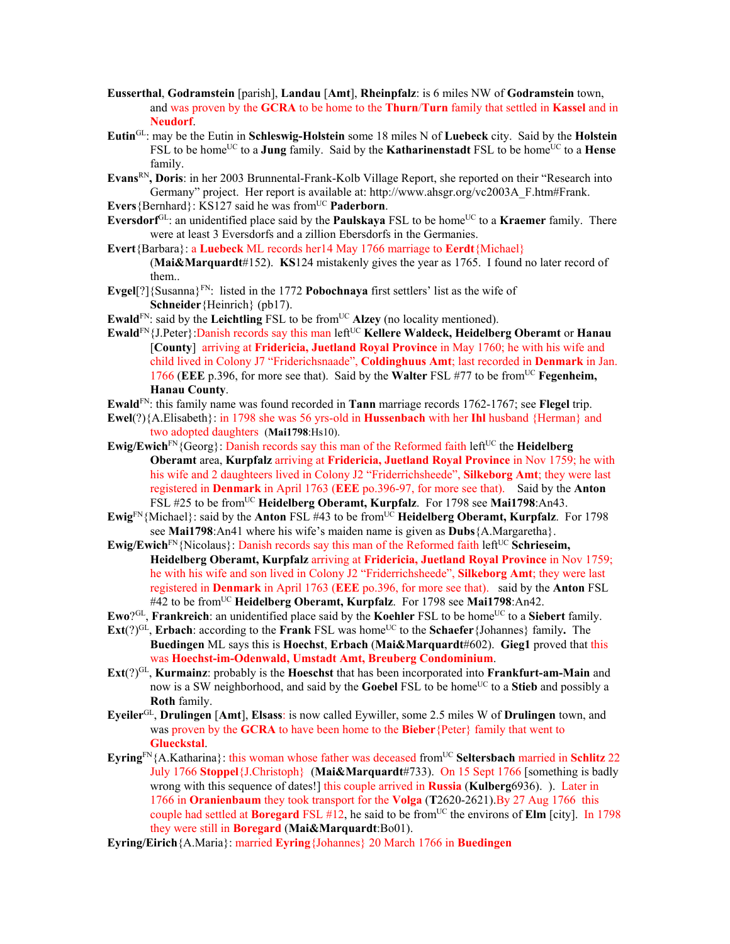- **Eusserthal**, **Godramstein** [parish], **Landau** [**Amt**], **Rheinpfalz**: is 6 miles NW of **Godramstein** town, and was proven by the **GCRA** to be home to the **Thurn**/**Turn** family that settled in **Kassel** and in **Neudorf**.
- **Eutin**GL: may be the Eutin in **Schleswig-Holstein** some 18 miles N of **Luebeck** city. Said by the **Holstein** FSL to be home<sup>UC</sup> to a **Jung** family. Said by the **Katharinenstadt** FSL to be home<sup>UC</sup> to a **Hense** family.
- **Evans**RN**, Doris**: in her 2003 Brunnental-Frank-Kolb Village Report, she reported on their "Research into Germany" project. Her report is available at: http://www.ahsgr.org/vc2003A\_F.htm#Frank.
- Evers {Bernhard}: KS127 said he was from<sup>UC</sup> **Paderborn**.
- **Eversdorf**<sup>GL</sup>: an unidentified place said by the **Paulskaya** FSL to be home<sup>UC</sup> to a **Kraemer** family. There were at least 3 Eversdorfs and a zillion Ebersdorfs in the Germanies.
- **Evert**{Barbara}: a **Luebeck** ML records her14 May 1766 marriage to **Eerdt**{Michael} (**Mai&Marquardt**#152). **KS**124 mistakenly gives the year as 1765. I found no later record of them..
- **Evgel**[?]{Susanna}FN: listed in the 1772 **Pobochnaya** first settlers' list as the wife of **Schneider**{Heinrich} (pb17).
- **Ewald**<sup>FN</sup>: said by the **Leichtling** FSL to be from<sup>UC</sup> Alzey (no locality mentioned).
- **Ewald**<sup>FN</sup>{J.Peter}: Danish records say this man left<sup>UC</sup> Kellere Waldeck, Heidelberg Oberamt or Hanau [**County**] arriving at **Fridericia, Juetland Royal Province** in May 1760; he with his wife and child lived in Colony J7 "Friderichsnaade", **Coldinghuus Amt**; last recorded in **Denmark** in Jan. 1766 (**EEE** p.396, for more see that). Said by the **Walter** FSL #77 to be fromUC **Fegenheim, Hanau County**.
- **Ewald**FN: this family name was found recorded in **Tann** marriage records 1762-1767; see **Flegel** trip.
- **Ewel**(?){A.Elisabeth}: in 1798 she was 56 yrs-old in **Hussenbach** with her **Ihl** husband {Herman} and two adopted daughters (**Mai1798**:Hs10).
- **Ewig/Ewich**<sup>FN</sup>{Georg}: Danish records say this man of the Reformed faith left<sup>UC</sup> the **Heidelberg Oberamt** area, **Kurpfalz** arriving at **Fridericia, Juetland Royal Province** in Nov 1759; he with his wife and 2 daughteers lived in Colony J2 "Friderrichsheede", **Silkeborg Amt**; they were last registered in **Denmark** in April 1763 (**EEE** po.396-97, for more see that). Said by the **Anton** FSL #25 to be fromUC **Heidelberg Oberamt, Kurpfalz**. For 1798 see **Mai1798**:An43.
- **Ewig**<sup>FN</sup>{Michael}: said by the **Anton** FSL #43 to be from<sup>UC</sup> **Heidelberg Oberamt, Kurpfalz**. For 1798 see **Mai1798**:An41 where his wife's maiden name is given as **Dubs**{A.Margaretha}.
- **Ewig/Ewich**<sup>FN</sup>{Nicolaus}: Danish records say this man of the Reformed faith left<sup>UC</sup> Schrieseim, **Heidelberg Oberamt, Kurpfalz** arriving at **Fridericia, Juetland Royal Province** in Nov 1759; he with his wife and son lived in Colony J2 "Friderrichsheede", **Silkeborg Amt**; they were last registered in **Denmark** in April 1763 (**EEE** po.396, for more see that). said by the **Anton** FSL #42 to be fromUC **Heidelberg Oberamt, Kurpfalz**. For 1798 see **Mai1798**:An42.
- **Ewo**?<sup>GL</sup>, **Frankreich**: an unidentified place said by the **Koehler** FSL to be home<sup>UC</sup> to a **Siebert** family.
- $\text{Ext}(?)^{GL}$ , **Erbach**: according to the **Frank** FSL was home<sup>UC</sup> to the **Schaefer**{Johannes} family. The **Buedingen** ML says this is **Hoechst**, **Erbach** (**Mai&Marquardt**#602). **Gieg1** proved that this was **Hoechst-im-Odenwald, Umstadt Amt, Breuberg Condominium**.
- **Ext**(?)GL, **Kurmainz**: probably is the **Hoeschst** that has been incorporated into **Frankfurt-am-Main** and now is a SW neighborhood, and said by the **Goebel** FSL to be home<sup>UC</sup> to a **Stieb** and possibly a **Roth** family.
- **Eyeiler**GL, **Drulingen** [**Amt**], **Elsass**: is now called Eywiller, some 2.5 miles W of **Drulingen** town, and was proven by the **GCRA** to have been home to the **Bieber**{Peter} family that went to **Glueckstal**.
- **Eyring**<sup>FN</sup>{A.Katharina}: this woman whose father was deceased from<sup>UC</sup> Seltersbach married in Schlitz 22 July 1766 **Stoppel**{J.Christoph} (**Mai&Marquardt**#733). On 15 Sept 1766 [something is badly wrong with this sequence of dates!] this couple arrived in **Russia** (**Kulberg**6936). ). Later in 1766 in **Oranienbaum** they took transport for the **Volga** (**T**2620-2621).By 27 Aug 1766 this couple had settled at **Boregard**  $FSL H12$ , he said to be from<sup>UC</sup> the environs of **Elm** [city]. In 1798 they were still in **Boregard** (**Mai&Marquardt**:Bo01).
- **Eyring/Eirich**{A.Maria}: married **Eyring**{Johannes} 20 March 1766 in **Buedingen**